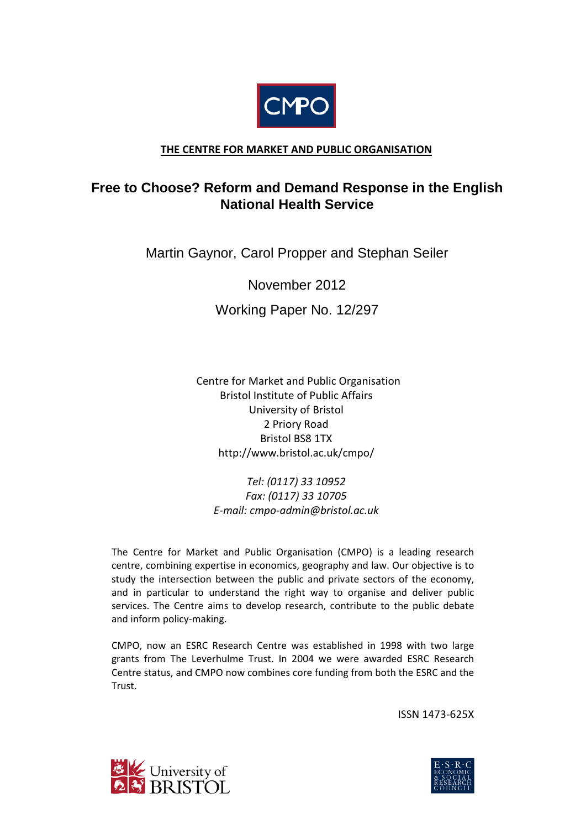

## **THE CENTRE FOR MARKET AND PUBLIC ORGANISATION**

# **Free to Choose? Reform and Demand Response in the English National Health Service**

Martin Gaynor, Carol Propper and Stephan Seiler

November 2012

Working Paper No. 12/297

 Centre for Market and Public Organisation Bristol Institute of Public Affairs University of Bristol 2 Priory Road Bristol BS8 1TX http://www.bristol.ac.uk/cmpo/

*Tel: (0117) 33 10952 Fax: (0117) 33 10705 E-mail: cmpo-admin@bristol.ac.uk*

The Centre for Market and Public Organisation (CMPO) is a leading research centre, combining expertise in economics, geography and law. Our objective is to study the intersection between the public and private sectors of the economy, and in particular to understand the right way to organise and deliver public services. The Centre aims to develop research, contribute to the public debate and inform policy-making.

CMPO, now an ESRC Research Centre was established in 1998 with two large grants from The Leverhulme Trust. In 2004 we were awarded ESRC Research Centre status, and CMPO now combines core funding from both the ESRC and the Trust.

ISSN 1473-625X



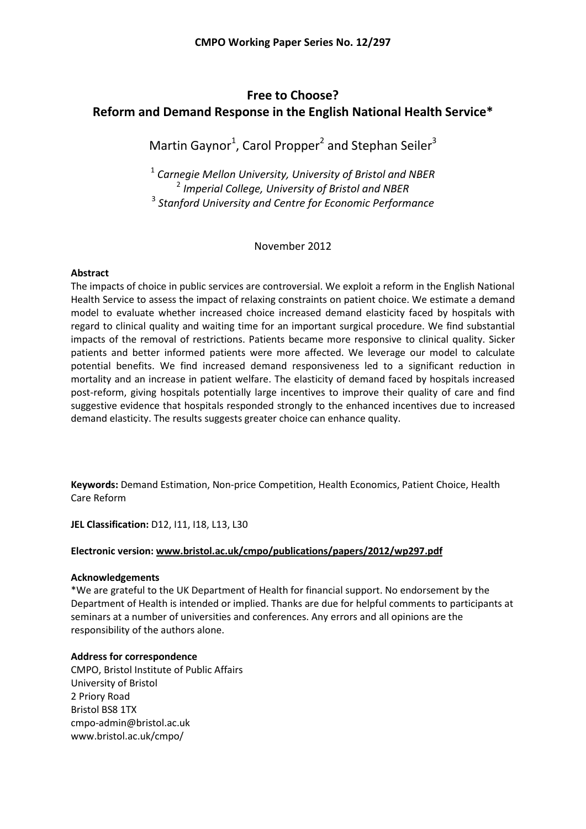# **Free to Choose? Reform and Demand Response in the English National Health Service\***

Martin Gaynor<sup>1</sup>, Carol Propper<sup>2</sup> and Stephan Seiler<sup>3</sup>

<sup>1</sup> *Carnegie Mellon University, University of Bristol and NBER* <sup>2</sup> *Imperial College, University of Bristol and NBER* <sup>3</sup> *Stanford University and Centre for Economic Performance*

November 2012

## **Abstract**

The impacts of choice in public services are controversial. We exploit a reform in the English National Health Service to assess the impact of relaxing constraints on patient choice. We estimate a demand model to evaluate whether increased choice increased demand elasticity faced by hospitals with regard to clinical quality and waiting time for an important surgical procedure. We find substantial impacts of the removal of restrictions. Patients became more responsive to clinical quality. Sicker patients and better informed patients were more affected. We leverage our model to calculate potential benefits. We find increased demand responsiveness led to a significant reduction in mortality and an increase in patient welfare. The elasticity of demand faced by hospitals increased post-reform, giving hospitals potentially large incentives to improve their quality of care and find suggestive evidence that hospitals responded strongly to the enhanced incentives due to increased demand elasticity. The results suggests greater choice can enhance quality.

**Keywords:** Demand Estimation, Non-price Competition, Health Economics, Patient Choice, Health Care Reform

**JEL Classification:** D12, I11, I18, L13, L30

## **Electronic version: www.bristol.ac.uk/cmpo/publications/papers/2012/wp297.pdf**

## **Acknowledgements**

\*We are grateful to the UK Department of Health for financial support. No endorsement by the Department of Health is intended or implied. Thanks are due for helpful comments to participants at seminars at a number of universities and conferences. Any errors and all opinions are the responsibility of the authors alone.

## **Address for correspondence**

CMPO, Bristol Institute of Public Affairs University of Bristol 2 Priory Road Bristol BS8 1TX cmpo-admin@bristol.ac.uk www.bristol.ac.uk/cmpo/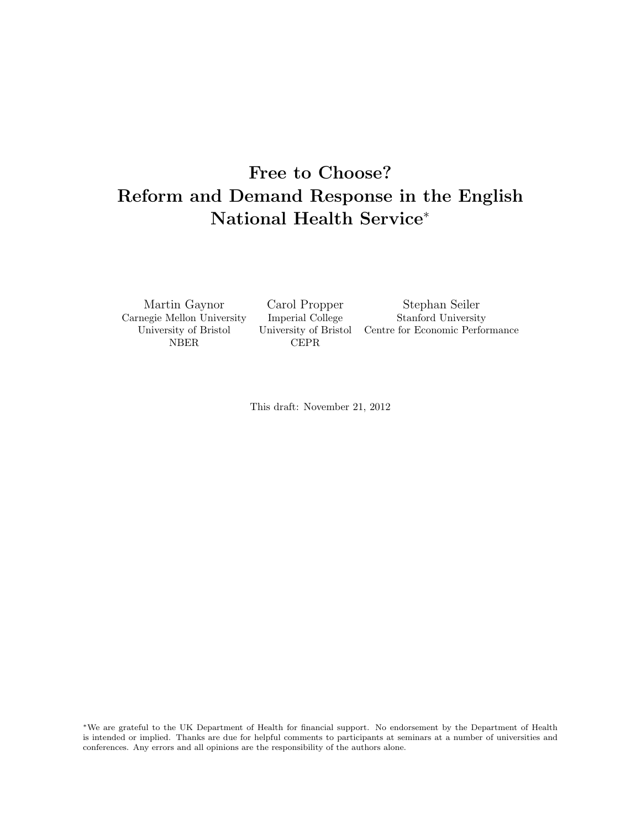# <span id="page-2-0"></span>Free to Choose? Reform and Demand Response in the English National Health Service<sup>∗</sup>

Carnegie Mellon University Imperial College Stanford University NBER CEPR

Martin Gaynor Carol Propper Stephan Seiler University of Bristol University of Bristol Centre for Economic Performance

This draft: November 21, 2012

<sup>∗</sup>We are grateful to the UK Department of Health for financial support. No endorsement by the Department of Health is intended or implied. Thanks are due for helpful comments to participants at seminars at a number of universities and conferences. Any errors and all opinions are the responsibility of the authors alone.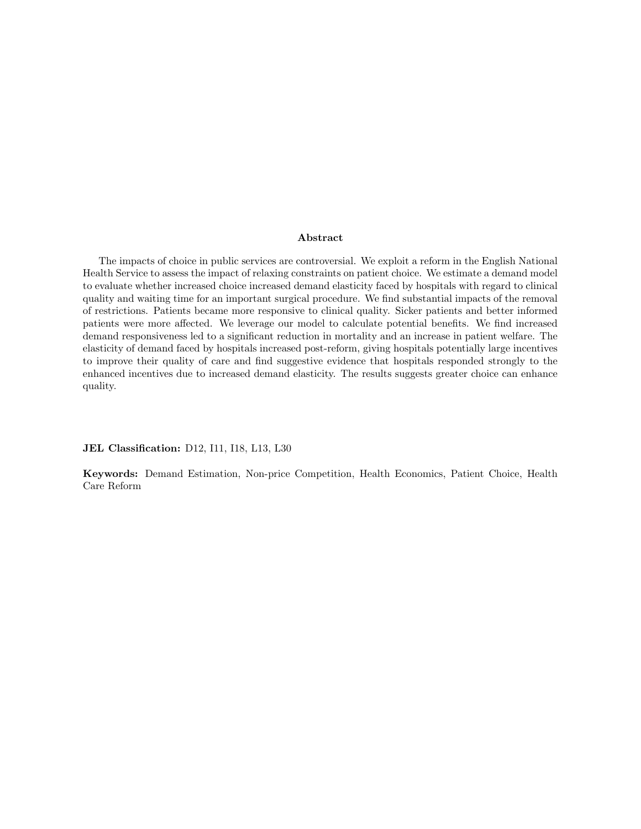#### Abstract

The impacts of choice in public services are controversial. We exploit a reform in the English National Health Service to assess the impact of relaxing constraints on patient choice. We estimate a demand model to evaluate whether increased choice increased demand elasticity faced by hospitals with regard to clinical quality and waiting time for an important surgical procedure. We find substantial impacts of the removal of restrictions. Patients became more responsive to clinical quality. Sicker patients and better informed patients were more affected. We leverage our model to calculate potential benefits. We find increased demand responsiveness led to a significant reduction in mortality and an increase in patient welfare. The elasticity of demand faced by hospitals increased post-reform, giving hospitals potentially large incentives to improve their quality of care and find suggestive evidence that hospitals responded strongly to the enhanced incentives due to increased demand elasticity. The results suggests greater choice can enhance quality.

JEL Classification: D12, I11, I18, L13, L30

Keywords: Demand Estimation, Non-price Competition, Health Economics, Patient Choice, Health Care Reform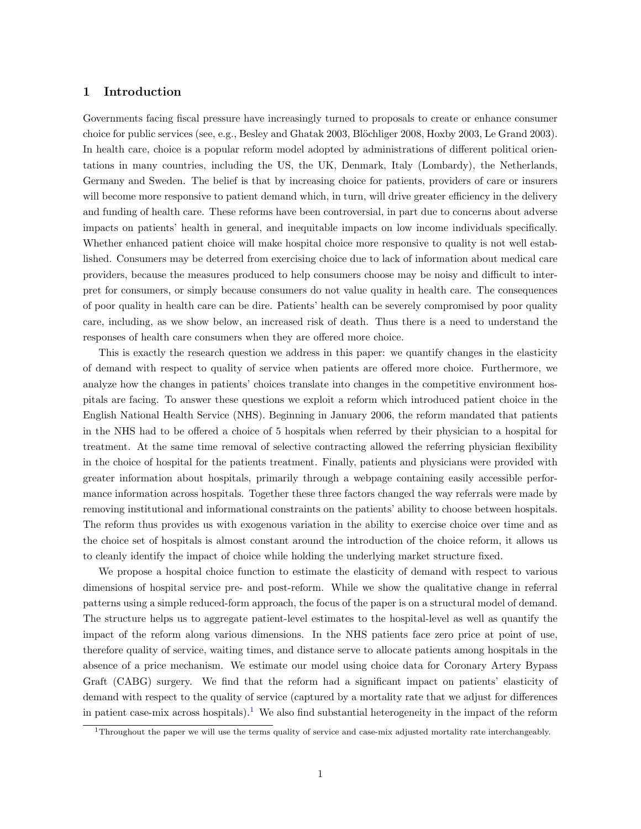#### 1 Introduction

Governments facing fiscal pressure have increasingly turned to proposals to create or enhance consumer choice for public services (see, e.g., Besley and Ghatak 2003, Blöchliger 2008, Hoxby 2003, Le Grand 2003). In health care, choice is a popular reform model adopted by administrations of different political orientations in many countries, including the US, the UK, Denmark, Italy (Lombardy), the Netherlands, Germany and Sweden. The belief is that by increasing choice for patients, providers of care or insurers will become more responsive to patient demand which, in turn, will drive greater efficiency in the delivery and funding of health care. These reforms have been controversial, in part due to concerns about adverse impacts on patients' health in general, and inequitable impacts on low income individuals specifically. Whether enhanced patient choice will make hospital choice more responsive to quality is not well established. Consumers may be deterred from exercising choice due to lack of information about medical care providers, because the measures produced to help consumers choose may be noisy and difficult to interpret for consumers, or simply because consumers do not value quality in health care. The consequences of poor quality in health care can be dire. Patients' health can be severely compromised by poor quality care, including, as we show below, an increased risk of death. Thus there is a need to understand the responses of health care consumers when they are offered more choice.

This is exactly the research question we address in this paper: we quantify changes in the elasticity of demand with respect to quality of service when patients are offered more choice. Furthermore, we analyze how the changes in patients' choices translate into changes in the competitive environment hospitals are facing. To answer these questions we exploit a reform which introduced patient choice in the English National Health Service (NHS). Beginning in January 2006, the reform mandated that patients in the NHS had to be offered a choice of 5 hospitals when referred by their physician to a hospital for treatment. At the same time removal of selective contracting allowed the referring physician flexibility in the choice of hospital for the patients treatment. Finally, patients and physicians were provided with greater information about hospitals, primarily through a webpage containing easily accessible performance information across hospitals. Together these three factors changed the way referrals were made by removing institutional and informational constraints on the patients' ability to choose between hospitals. The reform thus provides us with exogenous variation in the ability to exercise choice over time and as the choice set of hospitals is almost constant around the introduction of the choice reform, it allows us to cleanly identify the impact of choice while holding the underlying market structure fixed.

We propose a hospital choice function to estimate the elasticity of demand with respect to various dimensions of hospital service pre- and post-reform. While we show the qualitative change in referral patterns using a simple reduced-form approach, the focus of the paper is on a structural model of demand. The structure helps us to aggregate patient-level estimates to the hospital-level as well as quantify the impact of the reform along various dimensions. In the NHS patients face zero price at point of use, therefore quality of service, waiting times, and distance serve to allocate patients among hospitals in the absence of a price mechanism. We estimate our model using choice data for Coronary Artery Bypass Graft (CABG) surgery. We find that the reform had a significant impact on patients' elasticity of demand with respect to the quality of service (captured by a mortality rate that we adjust for differences in patient case-mix across hospitals).<sup>[1](#page-2-0)</sup> We also find substantial heterogeneity in the impact of the reform

<sup>1</sup>Throughout the paper we will use the terms quality of service and case-mix adjusted mortality rate interchangeably.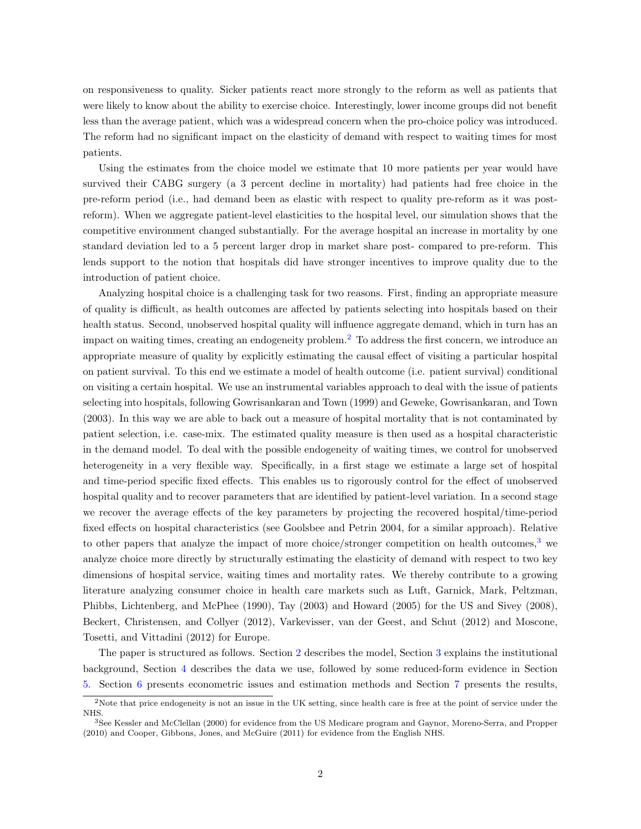on responsiveness to quality. Sicker patients react more strongly to the reform as well as patients that were likely to know about the ability to exercise choice. Interestingly, lower income groups did not benefit less than the average patient, which was a widespread concern when the pro-choice policy was introduced. The reform had no significant impact on the elasticity of demand with respect to waiting times for most patients.

Using the estimates from the choice model we estimate that 10 more patients per year would have survived their CABG surgery (a 3 percent decline in mortality) had patients had free choice in the pre-reform period (i.e., had demand been as elastic with respect to quality pre-reform as it was postreform). When we aggregate patient-level elasticities to the hospital level, our simulation shows that the competitive environment changed substantially. For the average hospital an increase in mortality by one standard deviation led to a 5 percent larger drop in market share post- compared to pre-reform. This lends support to the notion that hospitals did have stronger incentives to improve quality due to the introduction of patient choice.

Analyzing hospital choice is a challenging task for two reasons. First, finding an appropriate measure of quality is difficult, as health outcomes are affected by patients selecting into hospitals based on their health status. Second, unobserved hospital quality will influence aggregate demand, which in turn has an impact on waiting times, creating an endogeneity problem.[2](#page-2-0) To address the first concern, we introduce an appropriate measure of quality by explicitly estimating the causal effect of visiting a particular hospital on patient survival. To this end we estimate a model of health outcome (i.e. patient survival) conditional on visiting a certain hospital. We use an instrumental variables approach to deal with the issue of patients selecting into hospitals, following Gowrisankaran and Town (1999) and Geweke, Gowrisankaran, and Town (2003). In this way we are able to back out a measure of hospital mortality that is not contaminated by patient selection, i.e. case-mix. The estimated quality measure is then used as a hospital characteristic in the demand model. To deal with the possible endogeneity of waiting times, we control for unobserved heterogeneity in a very flexible way. Specifically, in a first stage we estimate a large set of hospital and time-period specific fixed effects. This enables us to rigorously control for the effect of unobserved hospital quality and to recover parameters that are identified by patient-level variation. In a second stage we recover the average effects of the key parameters by projecting the recovered hospital/time-period fixed effects on hospital characteristics (see Goolsbee and Petrin 2004, for a similar approach). Relative to other papers that analyze the impact of more choice/stronger competition on health outcomes,<sup>[3](#page-2-0)</sup> we analyze choice more directly by structurally estimating the elasticity of demand with respect to two key dimensions of hospital service, waiting times and mortality rates. We thereby contribute to a growing literature analyzing consumer choice in health care markets such as Luft, Garnick, Mark, Peltzman, Phibbs, Lichtenberg, and McPhee (1990), Tay (2003) and Howard (2005) for the US and Sivey (2008), Beckert, Christensen, and Collyer (2012), Varkevisser, van der Geest, and Schut (2012) and Moscone, Tosetti, and Vittadini (2012) for Europe.

The paper is structured as follows. Section [2](#page-6-0) describes the model, Section [3](#page-10-0) explains the institutional background, Section [4](#page-13-0) describes the data we use, followed by some reduced-form evidence in Section [5.](#page-16-0) Section [6](#page-17-0) presents econometric issues and estimation methods and Section [7](#page-21-0) presents the results,

<sup>&</sup>lt;sup>2</sup>Note that price endogeneity is not an issue in the UK setting, since health care is free at the point of service under the NHS.

<sup>3</sup>See Kessler and McClellan (2000) for evidence from the US Medicare program and Gaynor, Moreno-Serra, and Propper (2010) and Cooper, Gibbons, Jones, and McGuire (2011) for evidence from the English NHS.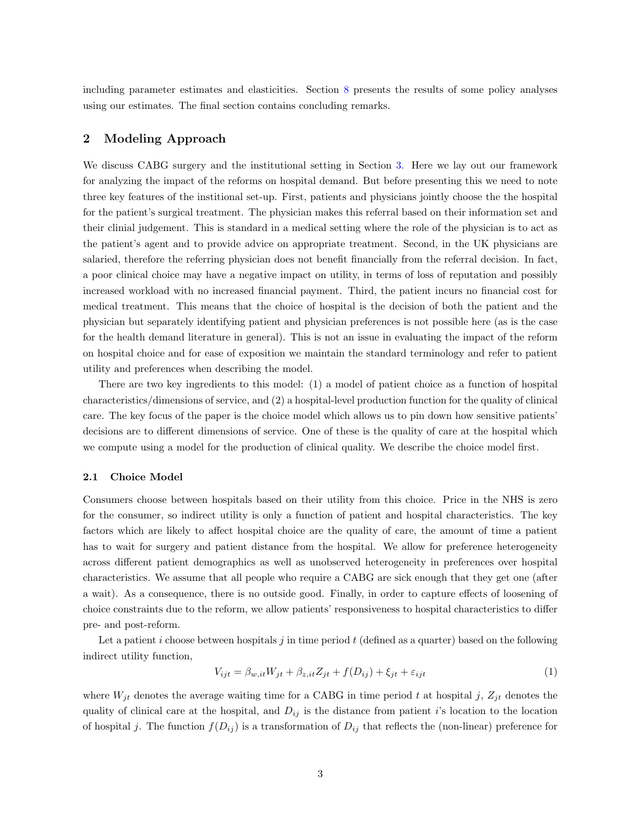including parameter estimates and elasticities. Section [8](#page-24-0) presents the results of some policy analyses using our estimates. The final section contains concluding remarks.

#### <span id="page-6-0"></span>2 Modeling Approach

We discuss CABG surgery and the institutional setting in Section [3.](#page-10-0) Here we lay out our framework for analyzing the impact of the reforms on hospital demand. But before presenting this we need to note three key features of the institional set-up. First, patients and physicians jointly choose the the hospital for the patient's surgical treatment. The physician makes this referral based on their information set and their clinial judgement. This is standard in a medical setting where the role of the physician is to act as the patient's agent and to provide advice on appropriate treatment. Second, in the UK physicians are salaried, therefore the referring physician does not benefit financially from the referral decision. In fact, a poor clinical choice may have a negative impact on utility, in terms of loss of reputation and possibly increased workload with no increased financial payment. Third, the patient incurs no financial cost for medical treatment. This means that the choice of hospital is the decision of both the patient and the physician but separately identifying patient and physician preferences is not possible here (as is the case for the health demand literature in general). This is not an issue in evaluating the impact of the reform on hospital choice and for ease of exposition we maintain the standard terminology and refer to patient utility and preferences when describing the model.

There are two key ingredients to this model: (1) a model of patient choice as a function of hospital characteristics/dimensions of service, and (2) a hospital-level production function for the quality of clinical care. The key focus of the paper is the choice model which allows us to pin down how sensitive patients' decisions are to different dimensions of service. One of these is the quality of care at the hospital which we compute using a model for the production of clinical quality. We describe the choice model first.

#### 2.1 Choice Model

Consumers choose between hospitals based on their utility from this choice. Price in the NHS is zero for the consumer, so indirect utility is only a function of patient and hospital characteristics. The key factors which are likely to affect hospital choice are the quality of care, the amount of time a patient has to wait for surgery and patient distance from the hospital. We allow for preference heterogeneity across different patient demographics as well as unobserved heterogeneity in preferences over hospital characteristics. We assume that all people who require a CABG are sick enough that they get one (after a wait). As a consequence, there is no outside good. Finally, in order to capture effects of loosening of choice constraints due to the reform, we allow patients' responsiveness to hospital characteristics to differ pre- and post-reform.

Let a patient i choose between hospitals j in time period  $t$  (defined as a quarter) based on the following indirect utility function,

<span id="page-6-1"></span>
$$
V_{ijt} = \beta_{w,it} W_{jt} + \beta_{z,it} Z_{jt} + f(D_{ij}) + \xi_{jt} + \varepsilon_{ijt}
$$
\n<sup>(1)</sup>

where  $W_{jt}$  denotes the average waiting time for a CABG in time period t at hospital j,  $Z_{jt}$  denotes the quality of clinical care at the hospital, and  $D_{ij}$  is the distance from patient i's location to the location of hospital j. The function  $f(D_{ij})$  is a transformation of  $D_{ij}$  that reflects the (non-linear) preference for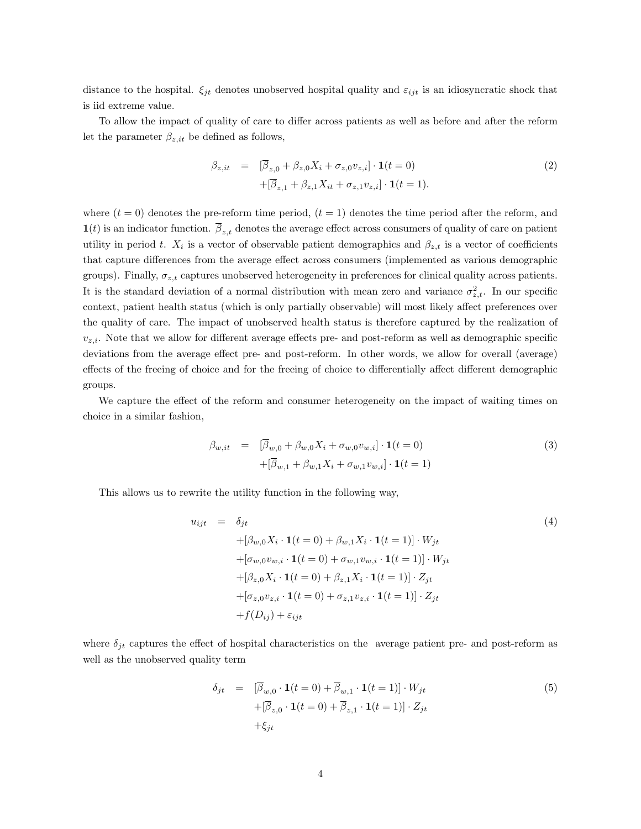distance to the hospital.  $\xi_{jt}$  denotes unobserved hospital quality and  $\varepsilon_{ijt}$  is an idiosyncratic shock that is iid extreme value.

To allow the impact of quality of care to differ across patients as well as before and after the reform let the parameter  $\beta_{z,it}$  be defined as follows,

$$
\beta_{z,it} = [\overline{\beta}_{z,0} + \beta_{z,0} X_i + \sigma_{z,0} v_{z,i}] \cdot \mathbf{1}(t=0) \n+ [\overline{\beta}_{z,1} + \beta_{z,1} X_{it} + \sigma_{z,1} v_{z,i}] \cdot \mathbf{1}(t=1).
$$
\n(2)

where  $(t = 0)$  denotes the pre-reform time period,  $(t = 1)$  denotes the time period after the reform, and  $\mathbf{1}(t)$  is an indicator function.  $\beta_{z,t}$  denotes the average effect across consumers of quality of care on patient utility in period t.  $X_i$  is a vector of observable patient demographics and  $\beta_{z,t}$  is a vector of coefficients that capture differences from the average effect across consumers (implemented as various demographic groups). Finally,  $\sigma_{z,t}$  captures unobserved heterogeneity in preferences for clinical quality across patients. It is the standard deviation of a normal distribution with mean zero and variance  $\sigma_{z,t}^2$ . In our specific context, patient health status (which is only partially observable) will most likely affect preferences over the quality of care. The impact of unobserved health status is therefore captured by the realization of  $v_{z,i}$ . Note that we allow for different average effects pre- and post-reform as well as demographic specific deviations from the average effect pre- and post-reform. In other words, we allow for overall (average) effects of the freeing of choice and for the freeing of choice to differentially affect different demographic groups.

We capture the effect of the reform and consumer heterogeneity on the impact of waiting times on choice in a similar fashion,

$$
\beta_{w,it} = [\overline{\beta}_{w,0} + \beta_{w,0}X_i + \sigma_{w,0}v_{w,i}] \cdot \mathbf{1}(t=0) \n+[\overline{\beta}_{w,1} + \beta_{w,1}X_i + \sigma_{w,1}v_{w,i}] \cdot \mathbf{1}(t=1)
$$
\n(3)

This allows us to rewrite the utility function in the following way,

<span id="page-7-0"></span>
$$
u_{ijt} = \delta_{jt}
$$
\n
$$
+ [\beta_{w,0}X_i \cdot \mathbf{1}(t=0) + \beta_{w,1}X_i \cdot \mathbf{1}(t=1)] \cdot W_{jt}
$$
\n
$$
+ [\sigma_{w,0}v_{w,i} \cdot \mathbf{1}(t=0) + \sigma_{w,1}v_{w,i} \cdot \mathbf{1}(t=1)] \cdot W_{jt}
$$
\n
$$
+ [\beta_{z,0}X_i \cdot \mathbf{1}(t=0) + \beta_{z,1}X_i \cdot \mathbf{1}(t=1)] \cdot Z_{jt}
$$
\n
$$
+ [\sigma_{z,0}v_{z,i} \cdot \mathbf{1}(t=0) + \sigma_{z,1}v_{z,i} \cdot \mathbf{1}(t=1)] \cdot Z_{jt}
$$
\n
$$
+ f(D_{ij}) + \varepsilon_{ijt}
$$
\n(4)

where  $\delta_{jt}$  captures the effect of hospital characteristics on the average patient pre- and post-reform as well as the unobserved quality term

<span id="page-7-1"></span>
$$
\delta_{jt} = [\overline{\beta}_{w,0} \cdot \mathbf{1}(t=0) + \overline{\beta}_{w,1} \cdot \mathbf{1}(t=1)] \cdot W_{jt}
$$
  
+
$$
[\overline{\beta}_{z,0} \cdot \mathbf{1}(t=0) + \overline{\beta}_{z,1} \cdot \mathbf{1}(t=1)] \cdot Z_{jt}
$$
  
+
$$
\xi_{jt}
$$
 (5)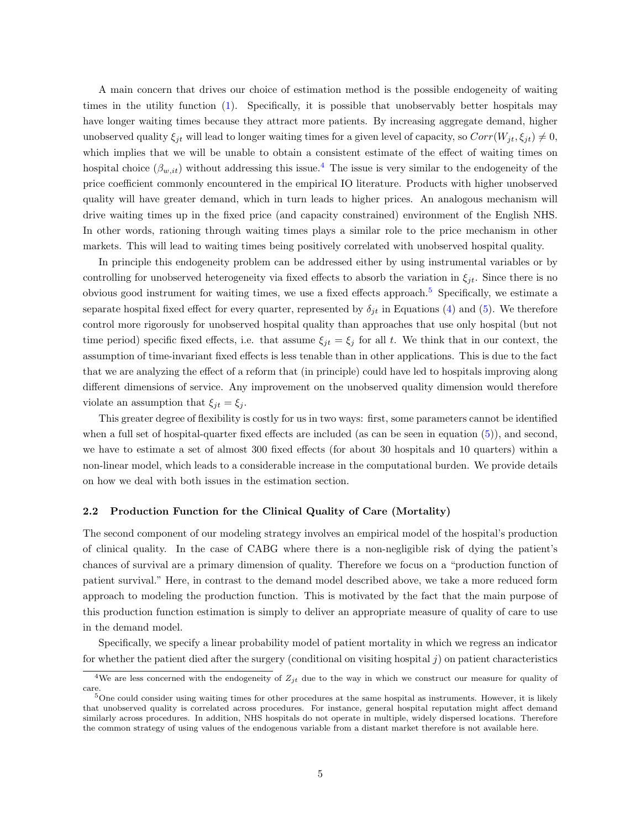A main concern that drives our choice of estimation method is the possible endogeneity of waiting times in the utility function [\(1\)](#page-6-1). Specifically, it is possible that unobservably better hospitals may have longer waiting times because they attract more patients. By increasing aggregate demand, higher unobserved quality  $\xi_{jt}$  will lead to longer waiting times for a given level of capacity, so  $Corr(W_{jt}, \xi_{jt}) \neq 0$ , which implies that we will be unable to obtain a consistent estimate of the effect of waiting times on hospital choice  $(\beta_{w,it})$  without addressing this issue.<sup>[4](#page-2-0)</sup> The issue is very similar to the endogeneity of the price coefficient commonly encountered in the empirical IO literature. Products with higher unobserved quality will have greater demand, which in turn leads to higher prices. An analogous mechanism will drive waiting times up in the fixed price (and capacity constrained) environment of the English NHS. In other words, rationing through waiting times plays a similar role to the price mechanism in other markets. This will lead to waiting times being positively correlated with unobserved hospital quality.

In principle this endogeneity problem can be addressed either by using instrumental variables or by controlling for unobserved heterogeneity via fixed effects to absorb the variation in  $\xi_{it}$ . Since there is no obvious good instrument for waiting times, we use a fixed effects approach.<sup>[5](#page-2-0)</sup> Specifically, we estimate a separate hospital fixed effect for every quarter, represented by  $\delta_{it}$  in Equations [\(4\)](#page-7-0) and [\(5\)](#page-7-1). We therefore control more rigorously for unobserved hospital quality than approaches that use only hospital (but not time period) specific fixed effects, i.e. that assume  $\xi_{jt} = \xi_j$  for all t. We think that in our context, the assumption of time-invariant fixed effects is less tenable than in other applications. This is due to the fact that we are analyzing the effect of a reform that (in principle) could have led to hospitals improving along different dimensions of service. Any improvement on the unobserved quality dimension would therefore violate an assumption that  $\xi_{it} = \xi_i$ .

This greater degree of flexibility is costly for us in two ways: first, some parameters cannot be identified when a full set of hospital-quarter fixed effects are included (as can be seen in equation [\(5\)](#page-7-1)), and second, we have to estimate a set of almost 300 fixed effects (for about 30 hospitals and 10 quarters) within a non-linear model, which leads to a considerable increase in the computational burden. We provide details on how we deal with both issues in the estimation section.

#### 2.2 Production Function for the Clinical Quality of Care (Mortality)

The second component of our modeling strategy involves an empirical model of the hospital's production of clinical quality. In the case of CABG where there is a non-negligible risk of dying the patient's chances of survival are a primary dimension of quality. Therefore we focus on a "production function of patient survival." Here, in contrast to the demand model described above, we take a more reduced form approach to modeling the production function. This is motivated by the fact that the main purpose of this production function estimation is simply to deliver an appropriate measure of quality of care to use in the demand model.

Specifically, we specify a linear probability model of patient mortality in which we regress an indicator for whether the patient died after the surgery (conditional on visiting hospital  $j$ ) on patient characteristics

<sup>&</sup>lt;sup>4</sup>We are less concerned with the endogeneity of  $Z_{jt}$  due to the way in which we construct our measure for quality of care.

 $5$ One could consider using waiting times for other procedures at the same hospital as instruments. However, it is likely that unobserved quality is correlated across procedures. For instance, general hospital reputation might affect demand similarly across procedures. In addition, NHS hospitals do not operate in multiple, widely dispersed locations. Therefore the common strategy of using values of the endogenous variable from a distant market therefore is not available here.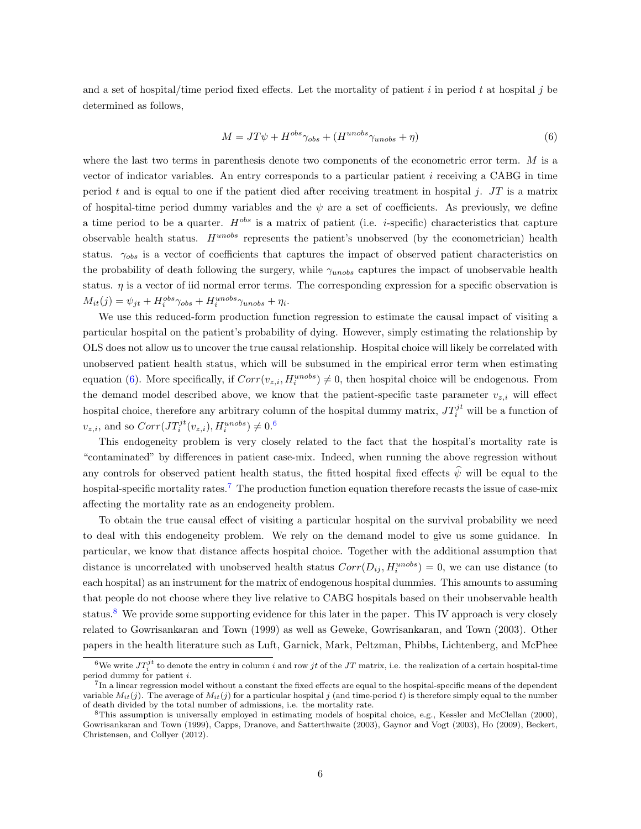and a set of hospital/time period fixed effects. Let the mortality of patient i in period t at hospital j be determined as follows,

<span id="page-9-0"></span>
$$
M = JT\psi + H^{obs}\gamma_{obs} + (H^{unobs}\gamma_{unobs} + \eta)
$$
\n<sup>(6)</sup>

where the last two terms in parenthesis denote two components of the econometric error term. M is a vector of indicator variables. An entry corresponds to a particular patient  $i$  receiving a CABG in time period t and is equal to one if the patient died after receiving treatment in hospital j. JT is a matrix of hospital-time period dummy variables and the  $\psi$  are a set of coefficients. As previously, we define a time period to be a quarter.  $H^{obs}$  is a matrix of patient (i.e. *i*-specific) characteristics that capture observable health status.  $H^{unobs}$  represents the patient's unobserved (by the econometrician) health status.  $\gamma_{obs}$  is a vector of coefficients that captures the impact of observed patient characteristics on the probability of death following the surgery, while  $\gamma_{unobs}$  captures the impact of unobservable health status.  $\eta$  is a vector of iid normal error terms. The corresponding expression for a specific observation is  $M_{it}(j) = \psi_{jt} + H_i^{obs} \gamma_{obs} + H_i^{unobs} \gamma_{unobs} + \eta_i.$ 

We use this reduced-form production function regression to estimate the causal impact of visiting a particular hospital on the patient's probability of dying. However, simply estimating the relationship by OLS does not allow us to uncover the true causal relationship. Hospital choice will likely be correlated with unobserved patient health status, which will be subsumed in the empirical error term when estimating equation [\(6\)](#page-9-0). More specifically, if  $Corr(v_{z,i}, H_i^{unobs}) \neq 0$ , then hospital choice will be endogenous. From the demand model described above, we know that the patient-specific taste parameter  $v_{z,i}$  will effect hospital choice, therefore any arbitrary column of the hospital dummy matrix,  $JT_i^{jt}$  will be a function of  $v_{z,i}$ , and so  $Corr(JT_i^{jt}(v_{z,i}), H_i^{unobs}) \neq 0.6$  $Corr(JT_i^{jt}(v_{z,i}), H_i^{unobs}) \neq 0.6$ 

This endogeneity problem is very closely related to the fact that the hospital's mortality rate is "contaminated" by differences in patient case-mix. Indeed, when running the above regression without any controls for observed patient health status, the fitted hospital fixed effects  $\hat{\psi}$  will be equal to the hospital-specific mortality rates.<sup>[7](#page-2-0)</sup> The production function equation therefore recasts the issue of case-mix affecting the mortality rate as an endogeneity problem.

To obtain the true causal effect of visiting a particular hospital on the survival probability we need to deal with this endogeneity problem. We rely on the demand model to give us some guidance. In particular, we know that distance affects hospital choice. Together with the additional assumption that distance is uncorrelated with unobserved health status  $Corr(D_{ij}, H_i^{unobs}) = 0$ , we can use distance (to each hospital) as an instrument for the matrix of endogenous hospital dummies. This amounts to assuming that people do not choose where they live relative to CABG hospitals based on their unobservable health status.<sup>[8](#page-2-0)</sup> We provide some supporting evidence for this later in the paper. This IV approach is very closely related to Gowrisankaran and Town (1999) as well as Geweke, Gowrisankaran, and Town (2003). Other papers in the health literature such as Luft, Garnick, Mark, Peltzman, Phibbs, Lichtenberg, and McPhee

<sup>&</sup>lt;sup>6</sup>We write  $JT_i^{jt}$  to denote the entry in column i and row jt of the JT matrix, i.e. the realization of a certain hospital-time period dummy for patient i.

<sup>&</sup>lt;sup>7</sup>In a linear regression model without a constant the fixed effects are equal to the hospital-specific means of the dependent variable  $M_{it}(j)$ . The average of  $M_{it}(j)$  for a particular hospital j (and time-period t) is therefore simply equal to the number of death divided by the total number of admissions, i.e. the mortality rate.

<sup>8</sup>This assumption is universally employed in estimating models of hospital choice, e.g., Kessler and McClellan (2000), Gowrisankaran and Town (1999), Capps, Dranove, and Satterthwaite (2003), Gaynor and Vogt (2003), Ho (2009), Beckert, Christensen, and Collyer (2012).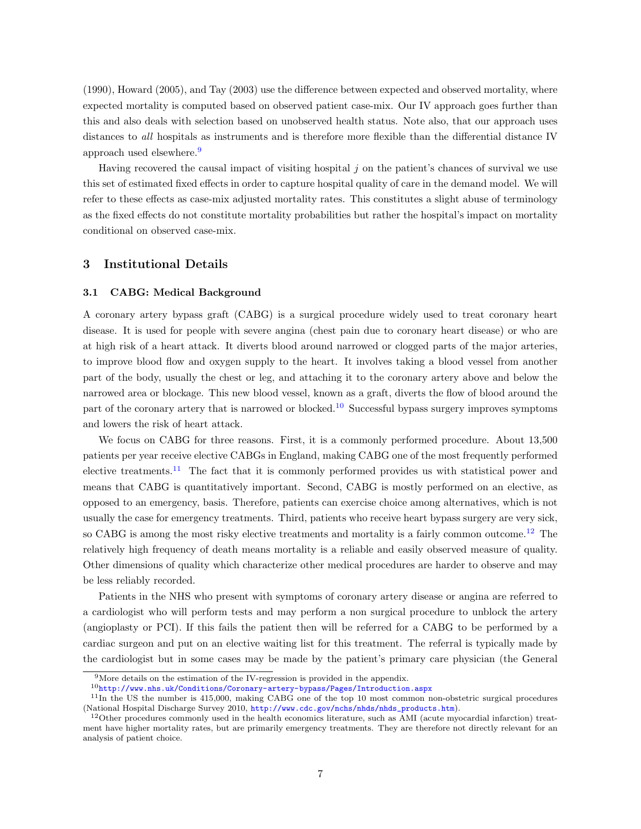(1990), Howard (2005), and Tay (2003) use the difference between expected and observed mortality, where expected mortality is computed based on observed patient case-mix. Our IV approach goes further than this and also deals with selection based on unobserved health status. Note also, that our approach uses distances to all hospitals as instruments and is therefore more flexible than the differential distance IV approach used elsewhere.<sup>[9](#page-2-0)</sup>

Having recovered the causal impact of visiting hospital  $j$  on the patient's chances of survival we use this set of estimated fixed effects in order to capture hospital quality of care in the demand model. We will refer to these effects as case-mix adjusted mortality rates. This constitutes a slight abuse of terminology as the fixed effects do not constitute mortality probabilities but rather the hospital's impact on mortality conditional on observed case-mix.

#### <span id="page-10-0"></span>3 Institutional Details

#### 3.1 CABG: Medical Background

A coronary artery bypass graft (CABG) is a surgical procedure widely used to treat coronary heart disease. It is used for people with severe angina (chest pain due to coronary heart disease) or who are at high risk of a heart attack. It diverts blood around narrowed or clogged parts of the major arteries, to improve blood flow and oxygen supply to the heart. It involves taking a blood vessel from another part of the body, usually the chest or leg, and attaching it to the coronary artery above and below the narrowed area or blockage. This new blood vessel, known as a graft, diverts the flow of blood around the part of the coronary artery that is narrowed or blocked.<sup>[10](#page-2-0)</sup> Successful bypass surgery improves symptoms and lowers the risk of heart attack.

We focus on CABG for three reasons. First, it is a commonly performed procedure. About 13,500 patients per year receive elective CABGs in England, making CABG one of the most frequently performed elective treatments.<sup>[11](#page-2-0)</sup> The fact that it is commonly performed provides us with statistical power and means that CABG is quantitatively important. Second, CABG is mostly performed on an elective, as opposed to an emergency, basis. Therefore, patients can exercise choice among alternatives, which is not usually the case for emergency treatments. Third, patients who receive heart bypass surgery are very sick, so CABG is among the most risky elective treatments and mortality is a fairly common outcome.<sup>[12](#page-2-0)</sup> The relatively high frequency of death means mortality is a reliable and easily observed measure of quality. Other dimensions of quality which characterize other medical procedures are harder to observe and may be less reliably recorded.

Patients in the NHS who present with symptoms of coronary artery disease or angina are referred to a cardiologist who will perform tests and may perform a non surgical procedure to unblock the artery (angioplasty or PCI). If this fails the patient then will be referred for a CABG to be performed by a cardiac surgeon and put on an elective waiting list for this treatment. The referral is typically made by the cardiologist but in some cases may be made by the patient's primary care physician (the General

 $^9 \rm{More~details~on~the~estimation~of~the~IV-regression}$  is provided in the appendix.

 $10$ <http://www.nhs.uk/Conditions/Coronary-artery-bypass/Pages/Introduction.aspx>

<sup>11</sup>In the US the number is 415,000, making CABG one of the top 10 most common non-obstetric surgical procedures (National Hospital Discharge Survey 2010, [http://www.cdc.gov/nchs/nhds/nhds\\_products.htm](http://www.cdc.gov/nchs/nhds/nhds_products.htm)).

 $12$ Other procedures commonly used in the health economics literature, such as AMI (acute myocardial infarction) treatment have higher mortality rates, but are primarily emergency treatments. They are therefore not directly relevant for an analysis of patient choice.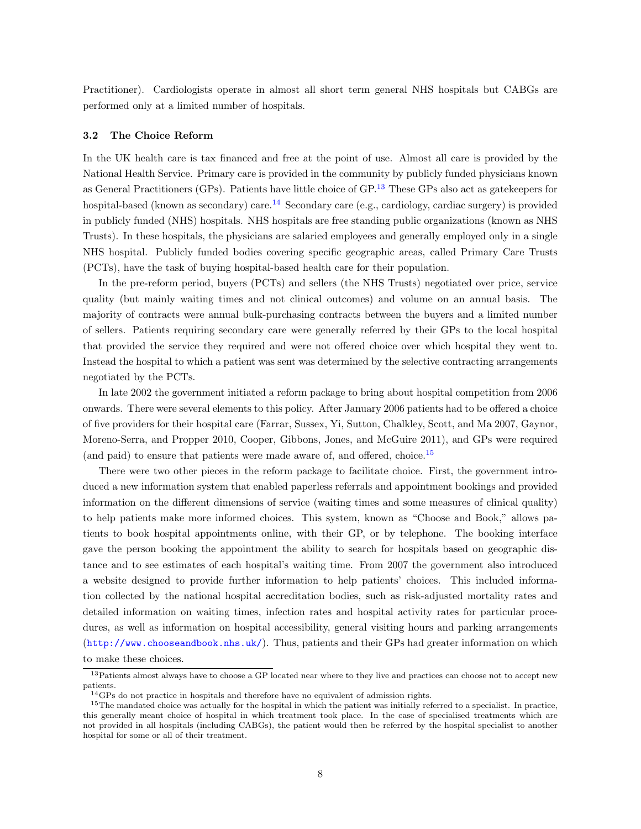Practitioner). Cardiologists operate in almost all short term general NHS hospitals but CABGs are performed only at a limited number of hospitals.

#### <span id="page-11-0"></span>3.2 The Choice Reform

In the UK health care is tax financed and free at the point of use. Almost all care is provided by the National Health Service. Primary care is provided in the community by publicly funded physicians known as General Practitioners (GPs). Patients have little choice of GP.[13](#page-2-0) These GPs also act as gatekeepers for hospital-based (known as secondary) care.<sup>[14](#page-2-0)</sup> Secondary care (e.g., cardiology, cardiac surgery) is provided in publicly funded (NHS) hospitals. NHS hospitals are free standing public organizations (known as NHS Trusts). In these hospitals, the physicians are salaried employees and generally employed only in a single NHS hospital. Publicly funded bodies covering specific geographic areas, called Primary Care Trusts (PCTs), have the task of buying hospital-based health care for their population.

In the pre-reform period, buyers (PCTs) and sellers (the NHS Trusts) negotiated over price, service quality (but mainly waiting times and not clinical outcomes) and volume on an annual basis. The majority of contracts were annual bulk-purchasing contracts between the buyers and a limited number of sellers. Patients requiring secondary care were generally referred by their GPs to the local hospital that provided the service they required and were not offered choice over which hospital they went to. Instead the hospital to which a patient was sent was determined by the selective contracting arrangements negotiated by the PCTs.

In late 2002 the government initiated a reform package to bring about hospital competition from 2006 onwards. There were several elements to this policy. After January 2006 patients had to be offered a choice of five providers for their hospital care (Farrar, Sussex, Yi, Sutton, Chalkley, Scott, and Ma 2007, Gaynor, Moreno-Serra, and Propper 2010, Cooper, Gibbons, Jones, and McGuire 2011), and GPs were required (and paid) to ensure that patients were made aware of, and offered, choice.<sup>[15](#page-2-0)</sup>

There were two other pieces in the reform package to facilitate choice. First, the government introduced a new information system that enabled paperless referrals and appointment bookings and provided information on the different dimensions of service (waiting times and some measures of clinical quality) to help patients make more informed choices. This system, known as "Choose and Book," allows patients to book hospital appointments online, with their GP, or by telephone. The booking interface gave the person booking the appointment the ability to search for hospitals based on geographic distance and to see estimates of each hospital's waiting time. From 2007 the government also introduced a website designed to provide further information to help patients' choices. This included information collected by the national hospital accreditation bodies, such as risk-adjusted mortality rates and detailed information on waiting times, infection rates and hospital activity rates for particular procedures, as well as information on hospital accessibility, general visiting hours and parking arrangements (<http://www.chooseandbook.nhs.uk/>). Thus, patients and their GPs had greater information on which to make these choices.

<sup>&</sup>lt;sup>13</sup>Patients almost always have to choose a GP located near where to they live and practices can choose not to accept new patients.

 $^{14}\mathrm{GPs}$  do not practice in hospitals and therefore have no equivalent of admission rights.

<sup>&</sup>lt;sup>15</sup>The mandated choice was actually for the hospital in which the patient was initially referred to a specialist. In practice, this generally meant choice of hospital in which treatment took place. In the case of specialised treatments which are not provided in all hospitals (including CABGs), the patient would then be referred by the hospital specialist to another hospital for some or all of their treatment.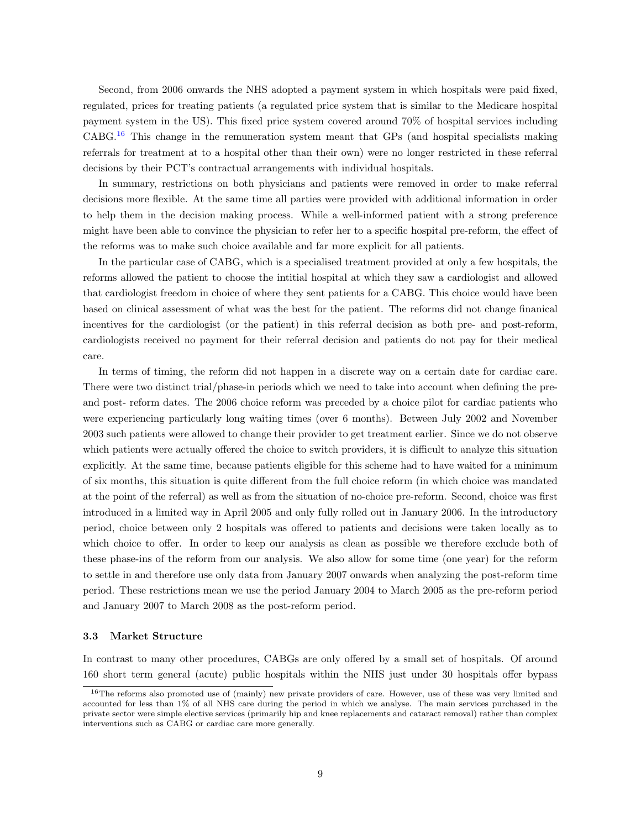Second, from 2006 onwards the NHS adopted a payment system in which hospitals were paid fixed, regulated, prices for treating patients (a regulated price system that is similar to the Medicare hospital payment system in the US). This fixed price system covered around 70% of hospital services including CABG.[16](#page-2-0) This change in the remuneration system meant that GPs (and hospital specialists making referrals for treatment at to a hospital other than their own) were no longer restricted in these referral decisions by their PCT's contractual arrangements with individual hospitals.

In summary, restrictions on both physicians and patients were removed in order to make referral decisions more flexible. At the same time all parties were provided with additional information in order to help them in the decision making process. While a well-informed patient with a strong preference might have been able to convince the physician to refer her to a specific hospital pre-reform, the effect of the reforms was to make such choice available and far more explicit for all patients.

In the particular case of CABG, which is a specialised treatment provided at only a few hospitals, the reforms allowed the patient to choose the intitial hospital at which they saw a cardiologist and allowed that cardiologist freedom in choice of where they sent patients for a CABG. This choice would have been based on clinical assessment of what was the best for the patient. The reforms did not change finanical incentives for the cardiologist (or the patient) in this referral decision as both pre- and post-reform, cardiologists received no payment for their referral decision and patients do not pay for their medical care.

In terms of timing, the reform did not happen in a discrete way on a certain date for cardiac care. There were two distinct trial/phase-in periods which we need to take into account when defining the preand post- reform dates. The 2006 choice reform was preceded by a choice pilot for cardiac patients who were experiencing particularly long waiting times (over 6 months). Between July 2002 and November 2003 such patients were allowed to change their provider to get treatment earlier. Since we do not observe which patients were actually offered the choice to switch providers, it is difficult to analyze this situation explicitly. At the same time, because patients eligible for this scheme had to have waited for a minimum of six months, this situation is quite different from the full choice reform (in which choice was mandated at the point of the referral) as well as from the situation of no-choice pre-reform. Second, choice was first introduced in a limited way in April 2005 and only fully rolled out in January 2006. In the introductory period, choice between only 2 hospitals was offered to patients and decisions were taken locally as to which choice to offer. In order to keep our analysis as clean as possible we therefore exclude both of these phase-ins of the reform from our analysis. We also allow for some time (one year) for the reform to settle in and therefore use only data from January 2007 onwards when analyzing the post-reform time period. These restrictions mean we use the period January 2004 to March 2005 as the pre-reform period and January 2007 to March 2008 as the post-reform period.

#### 3.3 Market Structure

In contrast to many other procedures, CABGs are only offered by a small set of hospitals. Of around 160 short term general (acute) public hospitals within the NHS just under 30 hospitals offer bypass

<sup>&</sup>lt;sup>16</sup>The reforms also promoted use of (mainly) new private providers of care. However, use of these was very limited and accounted for less than 1% of all NHS care during the period in which we analyse. The main services purchased in the private sector were simple elective services (primarily hip and knee replacements and cataract removal) rather than complex interventions such as CABG or cardiac care more generally.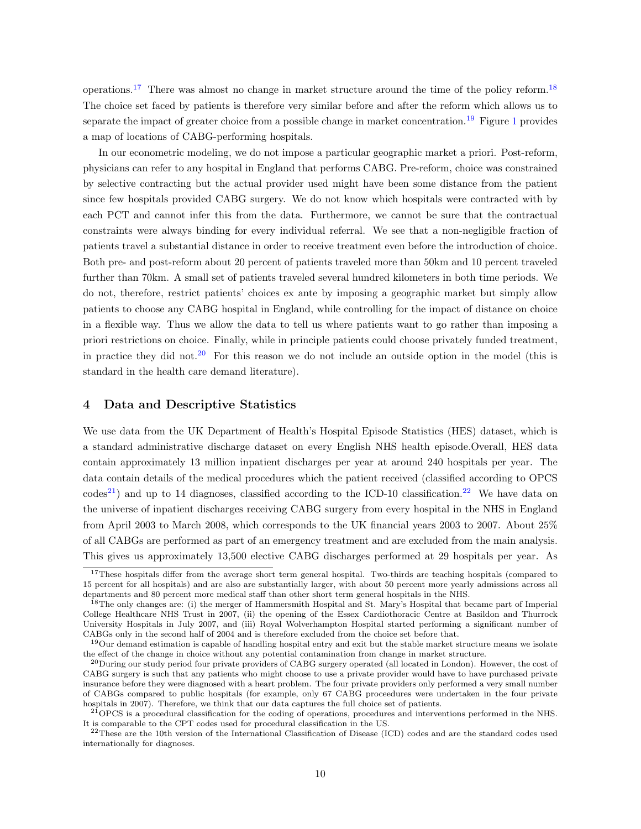operations.<sup>[17](#page-2-0)</sup> There was almost no change in market structure around the time of the policy reform.<sup>[18](#page-2-0)</sup> The choice set faced by patients is therefore very similar before and after the reform which allows us to separate the impact of greater choice from a possible change in market concentration.<sup>[19](#page-2-0)</sup> Figure [1](#page-42-0) provides a map of locations of CABG-performing hospitals.

In our econometric modeling, we do not impose a particular geographic market a priori. Post-reform, physicians can refer to any hospital in England that performs CABG. Pre-reform, choice was constrained by selective contracting but the actual provider used might have been some distance from the patient since few hospitals provided CABG surgery. We do not know which hospitals were contracted with by each PCT and cannot infer this from the data. Furthermore, we cannot be sure that the contractual constraints were always binding for every individual referral. We see that a non-negligible fraction of patients travel a substantial distance in order to receive treatment even before the introduction of choice. Both pre- and post-reform about 20 percent of patients traveled more than 50km and 10 percent traveled further than 70km. A small set of patients traveled several hundred kilometers in both time periods. We do not, therefore, restrict patients' choices ex ante by imposing a geographic market but simply allow patients to choose any CABG hospital in England, while controlling for the impact of distance on choice in a flexible way. Thus we allow the data to tell us where patients want to go rather than imposing a priori restrictions on choice. Finally, while in principle patients could choose privately funded treatment, in practice they did not.<sup>[20](#page-2-0)</sup> For this reason we do not include an outside option in the model (this is standard in the health care demand literature).

#### <span id="page-13-0"></span>4 Data and Descriptive Statistics

We use data from the UK Department of Health's Hospital Episode Statistics (HES) dataset, which is a standard administrative discharge dataset on every English NHS health episode.Overall, HES data contain approximately 13 million inpatient discharges per year at around 240 hospitals per year. The data contain details of the medical procedures which the patient received (classified according to OPCS  $\text{codes}^{21}$  $\text{codes}^{21}$  $\text{codes}^{21}$  and up to 14 diagnoses, classified according to the ICD-10 classification.<sup>[22](#page-2-0)</sup> We have data on the universe of inpatient discharges receiving CABG surgery from every hospital in the NHS in England from April 2003 to March 2008, which corresponds to the UK financial years 2003 to 2007. About 25% of all CABGs are performed as part of an emergency treatment and are excluded from the main analysis. This gives us approximately 13,500 elective CABG discharges performed at 29 hospitals per year. As

<sup>&</sup>lt;sup>17</sup>These hospitals differ from the average short term general hospital. Two-thirds are teaching hospitals (compared to 15 percent for all hospitals) and are also are substantially larger, with about 50 percent more yearly admissions across all departments and 80 percent more medical staff than other short term general hospitals in the NHS.

<sup>&</sup>lt;sup>18</sup>The only changes are: (i) the merger of Hammersmith Hospital and St. Mary's Hospital that became part of Imperial College Healthcare NHS Trust in 2007, (ii) the opening of the Essex Cardiothoracic Centre at Basildon and Thurrock University Hospitals in July 2007, and (iii) Royal Wolverhampton Hospital started performing a significant number of CABGs only in the second half of 2004 and is therefore excluded from the choice set before that.

 $19$ Our demand estimation is capable of handling hospital entry and exit but the stable market structure means we isolate the effect of the change in choice without any potential contamination from change in market structure.

 $^{20}$ During our study period four private providers of CABG surgery operated (all located in London). However, the cost of CABG surgery is such that any patients who might choose to use a private provider would have to have purchased private insurance before they were diagnosed with a heart problem. The four private providers only performed a very small number of CABGs compared to public hospitals (for example, only 67 CABG proceedures were undertaken in the four private hospitals in 2007). Therefore, we think that our data captures the full choice set of patients.

 $^{21}$ OPCS is a procedural classification for the coding of operations, procedures and interventions performed in the NHS. It is comparable to the CPT codes used for procedural classification in the US.

 $22$ These are the 10th version of the International Classification of Disease (ICD) codes and are the standard codes used internationally for diagnoses.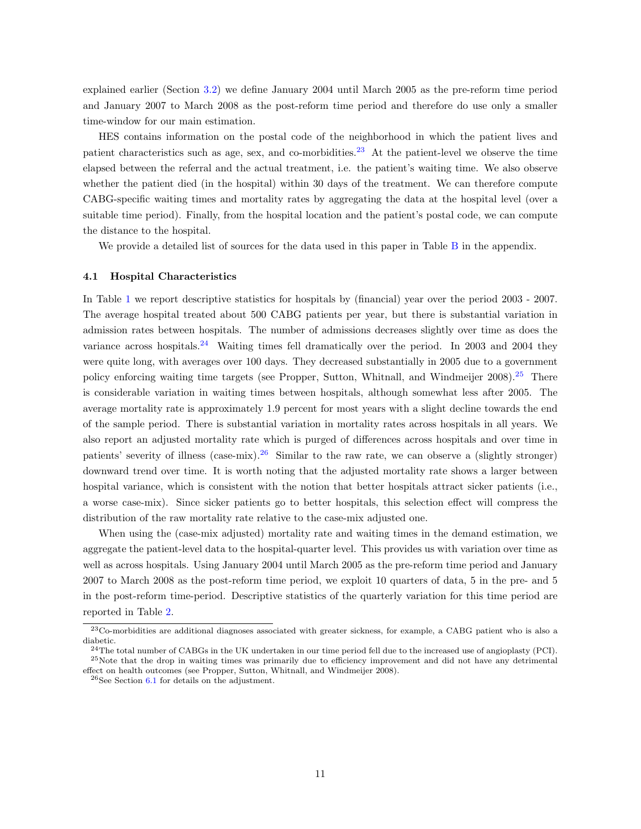explained earlier (Section [3.2\)](#page-11-0) we define January 2004 until March 2005 as the pre-reform time period and January 2007 to March 2008 as the post-reform time period and therefore do use only a smaller time-window for our main estimation.

HES contains information on the postal code of the neighborhood in which the patient lives and patient characteristics such as age, sex, and co-morbidities.[23](#page-2-0) At the patient-level we observe the time elapsed between the referral and the actual treatment, i.e. the patient's waiting time. We also observe whether the patient died (in the hospital) within 30 days of the treatment. We can therefore compute CABG-specific waiting times and mortality rates by aggregating the data at the hospital level (over a suitable time period). Finally, from the hospital location and the patient's postal code, we can compute the distance to the hospital.

We provide a detailed list of sources for the data used in this paper in Table [B](#page-49-0) in the appendix.

#### 4.1 Hospital Characteristics

In Table [1](#page-31-0) we report descriptive statistics for hospitals by (financial) year over the period 2003 - 2007. The average hospital treated about 500 CABG patients per year, but there is substantial variation in admission rates between hospitals. The number of admissions decreases slightly over time as does the variance across hospitals.<sup>[24](#page-2-0)</sup> Waiting times fell dramatically over the period. In 2003 and 2004 they were quite long, with averages over 100 days. They decreased substantially in 2005 due to a government policy enforcing waiting time targets (see Propper, Sutton, Whitnall, and Windmeijer 2008).<sup>[25](#page-2-0)</sup> There is considerable variation in waiting times between hospitals, although somewhat less after 2005. The average mortality rate is approximately 1.9 percent for most years with a slight decline towards the end of the sample period. There is substantial variation in mortality rates across hospitals in all years. We also report an adjusted mortality rate which is purged of differences across hospitals and over time in patients' severity of illness  $(case-mix).^{26}$  $(case-mix).^{26}$  $(case-mix).^{26}$  Similar to the raw rate, we can observe a (slightly stronger) downward trend over time. It is worth noting that the adjusted mortality rate shows a larger between hospital variance, which is consistent with the notion that better hospitals attract sicker patients (i.e., a worse case-mix). Since sicker patients go to better hospitals, this selection effect will compress the distribution of the raw mortality rate relative to the case-mix adjusted one.

When using the (case-mix adjusted) mortality rate and waiting times in the demand estimation, we aggregate the patient-level data to the hospital-quarter level. This provides us with variation over time as well as across hospitals. Using January 2004 until March 2005 as the pre-reform time period and January 2007 to March 2008 as the post-reform time period, we exploit 10 quarters of data, 5 in the pre- and 5 in the post-reform time-period. Descriptive statistics of the quarterly variation for this time period are reported in Table [2.](#page-32-0)

<sup>23</sup>Co-morbidities are additional diagnoses associated with greater sickness, for example, a CABG patient who is also a diabetic.

 $^{24}$ The total number of CABGs in the UK undertaken in our time period fell due to the increased use of angioplasty (PCI). <sup>25</sup>Note that the drop in waiting times was primarily due to efficiency improvement and did not have any detrimental effect on health outcomes (see Propper, Sutton, Whitnall, and Windmeijer 2008).

<sup>26</sup>See Section [6.1](#page-17-1) for details on the adjustment.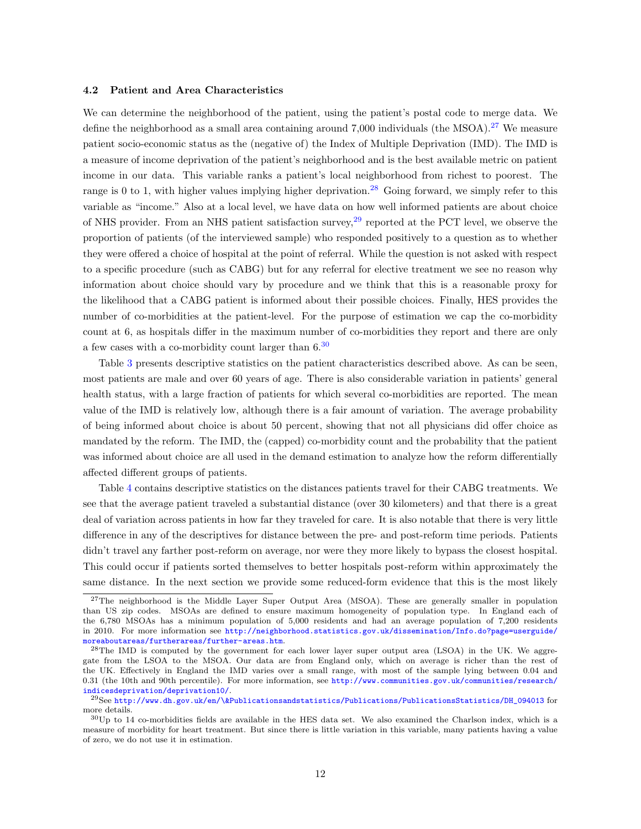#### 4.2 Patient and Area Characteristics

We can determine the neighborhood of the patient, using the patient's postal code to merge data. We define the neighborhood as a small area containing around 7,000 individuals (the MSOA).<sup>[27](#page-2-0)</sup> We measure patient socio-economic status as the (negative of) the Index of Multiple Deprivation (IMD). The IMD is a measure of income deprivation of the patient's neighborhood and is the best available metric on patient income in our data. This variable ranks a patient's local neighborhood from richest to poorest. The range is 0 to 1, with higher values implying higher deprivation.<sup>[28](#page-2-0)</sup> Going forward, we simply refer to this variable as "income." Also at a local level, we have data on how well informed patients are about choice of NHS provider. From an NHS patient satisfaction survey,<sup>[29](#page-2-0)</sup> reported at the PCT level, we observe the proportion of patients (of the interviewed sample) who responded positively to a question as to whether they were offered a choice of hospital at the point of referral. While the question is not asked with respect to a specific procedure (such as CABG) but for any referral for elective treatment we see no reason why information about choice should vary by procedure and we think that this is a reasonable proxy for the likelihood that a CABG patient is informed about their possible choices. Finally, HES provides the number of co-morbidities at the patient-level. For the purpose of estimation we cap the co-morbidity count at 6, as hospitals differ in the maximum number of co-morbidities they report and there are only a few cases with a co-morbidity count larger than  $6^{30}$  $6^{30}$  $6^{30}$ 

Table [3](#page-33-0) presents descriptive statistics on the patient characteristics described above. As can be seen, most patients are male and over 60 years of age. There is also considerable variation in patients' general health status, with a large fraction of patients for which several co-morbidities are reported. The mean value of the IMD is relatively low, although there is a fair amount of variation. The average probability of being informed about choice is about 50 percent, showing that not all physicians did offer choice as mandated by the reform. The IMD, the (capped) co-morbidity count and the probability that the patient was informed about choice are all used in the demand estimation to analyze how the reform differentially affected different groups of patients.

Table [4](#page-33-1) contains descriptive statistics on the distances patients travel for their CABG treatments. We see that the average patient traveled a substantial distance (over 30 kilometers) and that there is a great deal of variation across patients in how far they traveled for care. It is also notable that there is very little difference in any of the descriptives for distance between the pre- and post-reform time periods. Patients didn't travel any farther post-reform on average, nor were they more likely to bypass the closest hospital. This could occur if patients sorted themselves to better hospitals post-reform within approximately the same distance. In the next section we provide some reduced-form evidence that this is the most likely

<sup>&</sup>lt;sup>27</sup>The neighborhood is the Middle Layer Super Output Area (MSOA). These are generally smaller in population than US zip codes. MSOAs are defined to ensure maximum homogeneity of population type. In England each of the 6,780 MSOAs has a minimum population of 5,000 residents and had an average population of 7,200 residents in 2010. For more information see [http://neighborhood.statistics.gov.uk/dissemination/Info.do?page=userguide/](http://neighborhood.statistics.gov.uk/dissemination/Info.do?page=userguide/moreaboutareas/furtherareas/further-areas.htm) [moreaboutareas/furtherareas/further-areas.htm](http://neighborhood.statistics.gov.uk/dissemination/Info.do?page=userguide/moreaboutareas/furtherareas/further-areas.htm).

<sup>&</sup>lt;sup>28</sup>The IMD is computed by the government for each lower layer super output area (LSOA) in the UK. We aggregate from the LSOA to the MSOA. Our data are from England only, which on average is richer than the rest of the UK. Effectively in England the IMD varies over a small range, with most of the sample lying between 0.04 and 0.31 (the 10th and 90th percentile). For more information, see [http://www.communities.gov.uk/communities/research/](http://www.communities.gov.uk/communities/research/indicesdeprivation/deprivation10/) [indicesdeprivation/deprivation10/](http://www.communities.gov.uk/communities/research/indicesdeprivation/deprivation10/).

<sup>29</sup>See [http://www.dh.gov.uk/en/\&Publicationsandstatistics/Publications/PublicationsStatistics/DH\\_094013](http://www.dh.gov.uk/en/ \ & Publicationsandstatistics/Publications/PublicationsStatistics/DH_094013) for more details.

 $30$ Up to 14 co-morbidities fields are available in the HES data set. We also examined the Charlson index, which is a measure of morbidity for heart treatment. But since there is little variation in this variable, many patients having a value of zero, we do not use it in estimation.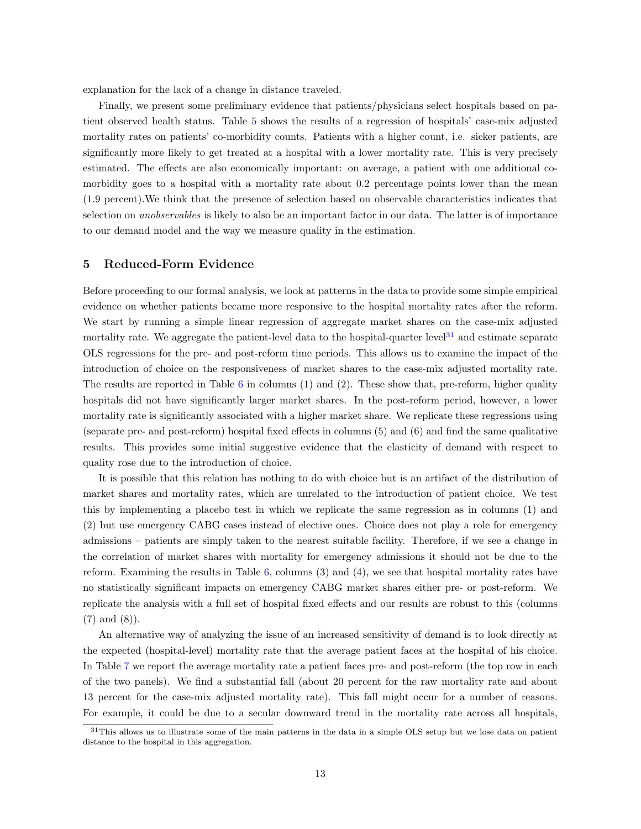explanation for the lack of a change in distance traveled.

Finally, we present some preliminary evidence that patients/physicians select hospitals based on patient observed health status. Table [5](#page-34-0) shows the results of a regression of hospitals' case-mix adjusted mortality rates on patients' co-morbidity counts. Patients with a higher count, i.e. sicker patients, are significantly more likely to get treated at a hospital with a lower mortality rate. This is very precisely estimated. The effects are also economically important: on average, a patient with one additional comorbidity goes to a hospital with a mortality rate about 0.2 percentage points lower than the mean (1.9 percent).We think that the presence of selection based on observable characteristics indicates that selection on unobservables is likely to also be an important factor in our data. The latter is of importance to our demand model and the way we measure quality in the estimation.

#### <span id="page-16-0"></span>5 Reduced-Form Evidence

Before proceeding to our formal analysis, we look at patterns in the data to provide some simple empirical evidence on whether patients became more responsive to the hospital mortality rates after the reform. We start by running a simple linear regression of aggregate market shares on the case-mix adjusted mortality rate. We aggregate the patient-level data to the hospital-quarter level<sup>[31](#page-2-0)</sup> and estimate separate OLS regressions for the pre- and post-reform time periods. This allows us to examine the impact of the introduction of choice on the responsiveness of market shares to the case-mix adjusted mortality rate. The results are reported in Table  $6$  in columns (1) and (2). These show that, pre-reform, higher quality hospitals did not have significantly larger market shares. In the post-reform period, however, a lower mortality rate is significantly associated with a higher market share. We replicate these regressions using (separate pre- and post-reform) hospital fixed effects in columns (5) and (6) and find the same qualitative results. This provides some initial suggestive evidence that the elasticity of demand with respect to quality rose due to the introduction of choice.

It is possible that this relation has nothing to do with choice but is an artifact of the distribution of market shares and mortality rates, which are unrelated to the introduction of patient choice. We test this by implementing a placebo test in which we replicate the same regression as in columns (1) and (2) but use emergency CABG cases instead of elective ones. Choice does not play a role for emergency admissions – patients are simply taken to the nearest suitable facility. Therefore, if we see a change in the correlation of market shares with mortality for emergency admissions it should not be due to the reform. Examining the results in Table [6,](#page-35-0) columns (3) and (4), we see that hospital mortality rates have no statistically significant impacts on emergency CABG market shares either pre- or post-reform. We replicate the analysis with a full set of hospital fixed effects and our results are robust to this (columns (7) and (8)).

An alternative way of analyzing the issue of an increased sensitivity of demand is to look directly at the expected (hospital-level) mortality rate that the average patient faces at the hospital of his choice. In Table [7](#page-36-0) we report the average mortality rate a patient faces pre- and post-reform (the top row in each of the two panels). We find a substantial fall (about 20 percent for the raw mortality rate and about 13 percent for the case-mix adjusted mortality rate). This fall might occur for a number of reasons. For example, it could be due to a secular downward trend in the mortality rate across all hospitals,

<sup>&</sup>lt;sup>31</sup>This allows us to illustrate some of the main patterns in the data in a simple OLS setup but we lose data on patient distance to the hospital in this aggregation.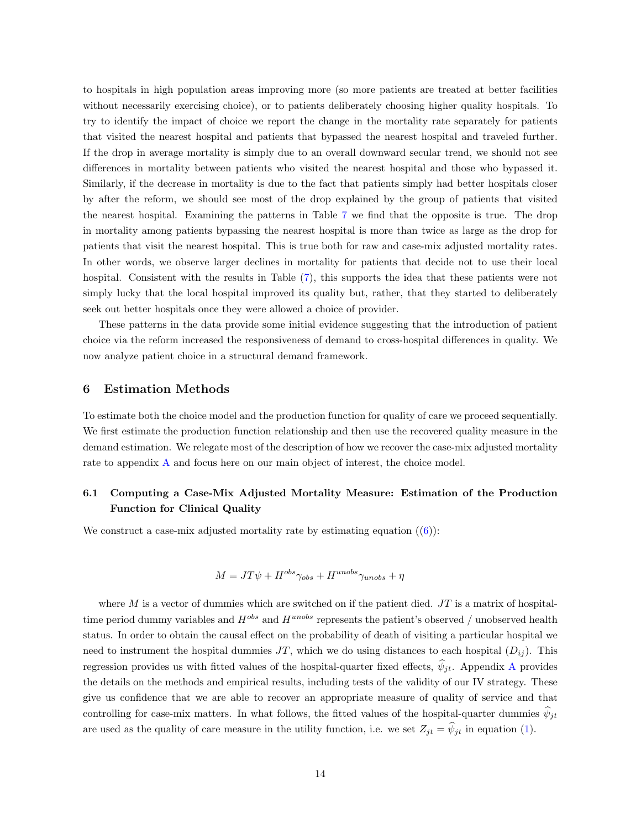to hospitals in high population areas improving more (so more patients are treated at better facilities without necessarily exercising choice), or to patients deliberately choosing higher quality hospitals. To try to identify the impact of choice we report the change in the mortality rate separately for patients that visited the nearest hospital and patients that bypassed the nearest hospital and traveled further. If the drop in average mortality is simply due to an overall downward secular trend, we should not see differences in mortality between patients who visited the nearest hospital and those who bypassed it. Similarly, if the decrease in mortality is due to the fact that patients simply had better hospitals closer by after the reform, we should see most of the drop explained by the group of patients that visited the nearest hospital. Examining the patterns in Table [7](#page-36-0) we find that the opposite is true. The drop in mortality among patients bypassing the nearest hospital is more than twice as large as the drop for patients that visit the nearest hospital. This is true both for raw and case-mix adjusted mortality rates. In other words, we observe larger declines in mortality for patients that decide not to use their local hospital. Consistent with the results in Table [\(7\)](#page-36-0), this supports the idea that these patients were not simply lucky that the local hospital improved its quality but, rather, that they started to deliberately seek out better hospitals once they were allowed a choice of provider.

These patterns in the data provide some initial evidence suggesting that the introduction of patient choice via the reform increased the responsiveness of demand to cross-hospital differences in quality. We now analyze patient choice in a structural demand framework.

#### <span id="page-17-0"></span>6 Estimation Methods

To estimate both the choice model and the production function for quality of care we proceed sequentially. We first estimate the production function relationship and then use the recovered quality measure in the demand estimation. We relegate most of the description of how we recover the case-mix adjusted mortality rate to appendix [A](#page-43-0) and focus here on our main object of interest, the choice model.

## <span id="page-17-1"></span>6.1 Computing a Case-Mix Adjusted Mortality Measure: Estimation of the Production Function for Clinical Quality

We construct a case-mix adjusted mortality rate by estimating equation  $((6))$  $((6))$  $((6))$ :

$$
M = JT\psi + H^{obs}\gamma_{obs} + H^{unobs}\gamma_{unobs} + \eta
$$

where  $M$  is a vector of dummies which are switched on if the patient died.  $JT$  is a matrix of hospitaltime period dummy variables and  $H^{obs}$  and  $H^{unobs}$  represents the patient's observed / unobserved health status. In order to obtain the causal effect on the probability of death of visiting a particular hospital we need to instrument the hospital dummies JT, which we do using distances to each hospital  $(D_{ij})$ . This regression provides us with fitted values of the hospital-quarter fixed effects,  $\psi_{it}$ . [A](#page-43-0)ppendix A provides the details on the methods and empirical results, including tests of the validity of our IV strategy. These give us confidence that we are able to recover an appropriate measure of quality of service and that controlling for case-mix matters. In what follows, the fitted values of the hospital-quarter dummies  $\hat{\psi}_{jt}$ are used as the quality of care measure in the utility function, i.e. we set  $Z_{jt} = \hat{\psi}_{jt}$  in equation [\(1\)](#page-6-1).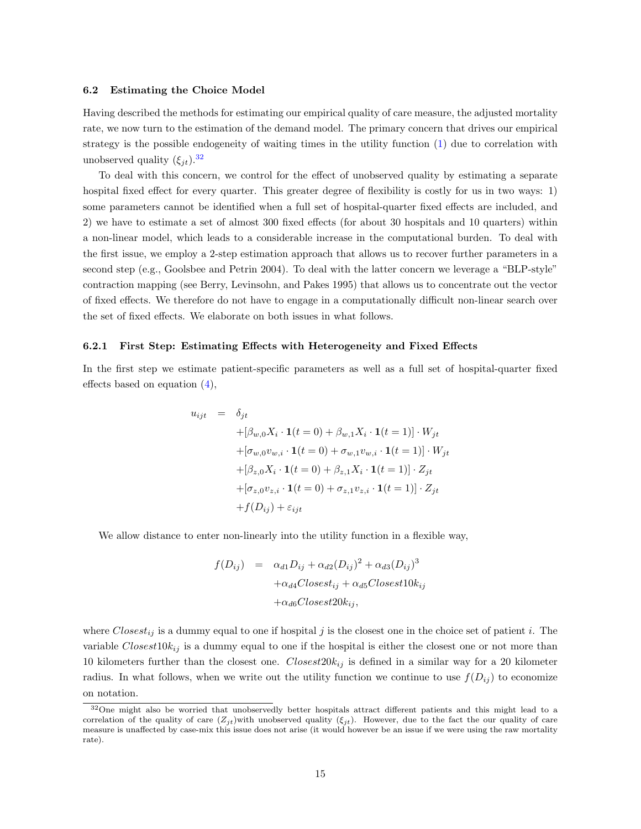#### 6.2 Estimating the Choice Model

Having described the methods for estimating our empirical quality of care measure, the adjusted mortality rate, we now turn to the estimation of the demand model. The primary concern that drives our empirical strategy is the possible endogeneity of waiting times in the utility function [\(1\)](#page-6-1) due to correlation with unobserved quality  $(\xi_{jt})$ .<sup>[32](#page-2-0)</sup>

To deal with this concern, we control for the effect of unobserved quality by estimating a separate hospital fixed effect for every quarter. This greater degree of flexibility is costly for us in two ways: 1) some parameters cannot be identified when a full set of hospital-quarter fixed effects are included, and 2) we have to estimate a set of almost 300 fixed effects (for about 30 hospitals and 10 quarters) within a non-linear model, which leads to a considerable increase in the computational burden. To deal with the first issue, we employ a 2-step estimation approach that allows us to recover further parameters in a second step (e.g., Goolsbee and Petrin 2004). To deal with the latter concern we leverage a "BLP-style" contraction mapping (see Berry, Levinsohn, and Pakes 1995) that allows us to concentrate out the vector of fixed effects. We therefore do not have to engage in a computationally difficult non-linear search over the set of fixed effects. We elaborate on both issues in what follows.

#### 6.2.1 First Step: Estimating Effects with Heterogeneity and Fixed Effects

In the first step we estimate patient-specific parameters as well as a full set of hospital-quarter fixed effects based on equation [\(4\)](#page-7-0),

$$
u_{ijt} = \delta_{jt}
$$
  
+  $[\beta_{w,0}X_i \cdot \mathbf{1}(t=0) + \beta_{w,1}X_i \cdot \mathbf{1}(t=1)] \cdot W_{jt}$   
+  $[\sigma_{w,0}v_{w,i} \cdot \mathbf{1}(t=0) + \sigma_{w,1}v_{w,i} \cdot \mathbf{1}(t=1)] \cdot W_{jt}$   
+  $[\beta_{z,0}X_i \cdot \mathbf{1}(t=0) + \beta_{z,1}X_i \cdot \mathbf{1}(t=1)] \cdot Z_{jt}$   
+  $[\sigma_{z,0}v_{z,i} \cdot \mathbf{1}(t=0) + \sigma_{z,1}v_{z,i} \cdot \mathbf{1}(t=1)] \cdot Z_{jt}$   
+  $f(D_{ij}) + \varepsilon_{ijt}$ 

We allow distance to enter non-linearly into the utility function in a flexible way,

$$
f(D_{ij}) = \alpha_{d1}D_{ij} + \alpha_{d2}(D_{ij})^2 + \alpha_{d3}(D_{ij})^3
$$

$$
+\alpha_{d4}Closed_{ij} + \alpha_{d5}Closed_{ij}
$$

$$
+\alpha_{d6}Closed_{ij},
$$

where Closest<sub>ij</sub> is a dummy equal to one if hospital j is the closest one in the choice set of patient i. The variable  $Closest10k_{ij}$  is a dummy equal to one if the hospital is either the closest one or not more than 10 kilometers further than the closest one.  $Closest20k_{ij}$  is defined in a similar way for a 20 kilometer radius. In what follows, when we write out the utility function we continue to use  $f(D_{ij})$  to economize on notation.

<sup>32</sup>One might also be worried that unobservedly better hospitals attract different patients and this might lead to a correlation of the quality of care  $(Z_{it})$ with unobserved quality  $(\xi_{it})$ . However, due to the fact the our quality of care measure is unaffected by case-mix this issue does not arise (it would however be an issue if we were using the raw mortality rate).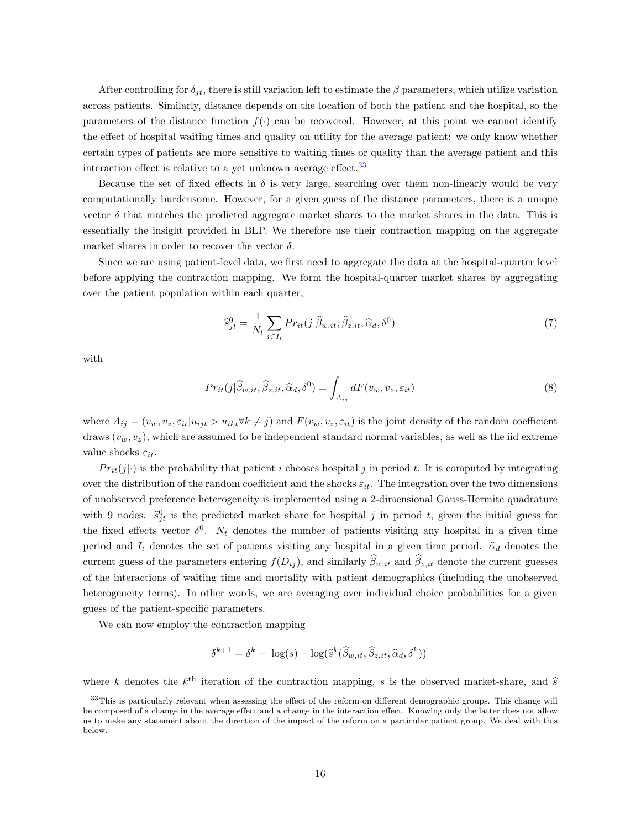After controlling for  $\delta_{it}$ , there is still variation left to estimate the  $\beta$  parameters, which utilize variation across patients. Similarly, distance depends on the location of both the patient and the hospital, so the parameters of the distance function  $f(\cdot)$  can be recovered. However, at this point we cannot identify the effect of hospital waiting times and quality on utility for the average patient: we only know whether certain types of patients are more sensitive to waiting times or quality than the average patient and this interaction effect is relative to a yet unknown average effect.[33](#page-2-0)

Because the set of fixed effects in  $\delta$  is very large, searching over them non-linearly would be very computationally burdensome. However, for a given guess of the distance parameters, there is a unique vector  $\delta$  that matches the predicted aggregate market shares to the market shares in the data. This is essentially the insight provided in BLP. We therefore use their contraction mapping on the aggregate market shares in order to recover the vector  $\delta$ .

Since we are using patient-level data, we first need to aggregate the data at the hospital-quarter level before applying the contraction mapping. We form the hospital-quarter market shares by aggregating over the patient population within each quarter,

$$
\widehat{s}_{jt}^0 = \frac{1}{N_t} \sum_{i \in I_t} Pr_{it}(j|\widehat{\beta}_{w,it}, \widehat{\beta}_{z,it}, \widehat{\alpha}_d, \delta^0)
$$
\n<sup>(7)</sup>

with

$$
Pr_{it}(j|\widehat{\beta}_{w,it}, \widehat{\beta}_{z,it}, \widehat{\alpha}_d, \delta^0) = \int_{A_{ij}} dF(v_w, v_z, \varepsilon_{it})
$$
\n(8)

where  $A_{ij} = (v_w, v_z, \varepsilon_{it} | u_{ijt} > u_{ikt} \forall k \neq j)$  and  $F(v_w, v_z, \varepsilon_{it})$  is the joint density of the random coefficient draws  $(v_w, v_z)$ , which are assumed to be independent standard normal variables, as well as the iid extreme value shocks  $\varepsilon_{it}$ .

 $Pr_{it}(j|\cdot)$  is the probability that patient i chooses hospital j in period t. It is computed by integrating over the distribution of the random coefficient and the shocks  $\varepsilon_{it}$ . The integration over the two dimensions of unobserved preference heterogeneity is implemented using a 2-dimensional Gauss-Hermite quadrature with 9 nodes.  $\hat{s}_{jt}^0$  is the predicted market share for hospital j in period t, given the initial guess for the fixed effects vector  $\delta^0$ .  $N_t$  denotes the number of patients visiting any hospital in a given time period and  $I_t$  denotes the set of patients visiting any hospital in a given time period.  $\hat{\alpha}_d$  denotes the current guess of the parameters entering  $f(D_{ij})$ , and similarly  $\widehat{\beta}_{w,it}$  and  $\widehat{\beta}_{z,it}$  denote the current guesses of the interactions of waiting time and mortality with patient demographics (including the unobserved heterogeneity terms). In other words, we are averaging over individual choice probabilities for a given guess of the patient-specific parameters.

We can now employ the contraction mapping

$$
\delta^{k+1} = \delta^k + [\log(s) - \log(\hat{s}^k(\hat{\beta}_{w,it}, \hat{\beta}_{z,it}, \hat{\alpha}_d, \delta^k))]
$$

where k denotes the  $k^{\text{th}}$  iteration of the contraction mapping, s is the observed market-share, and  $\hat{s}$ 

<sup>&</sup>lt;sup>33</sup>This is particularly relevant when assessing the effect of the reform on different demographic groups. This change will be composed of a change in the average effect and a change in the interaction effect. Knowing only the latter does not allow us to make any statement about the direction of the impact of the reform on a particular patient group. We deal with this below.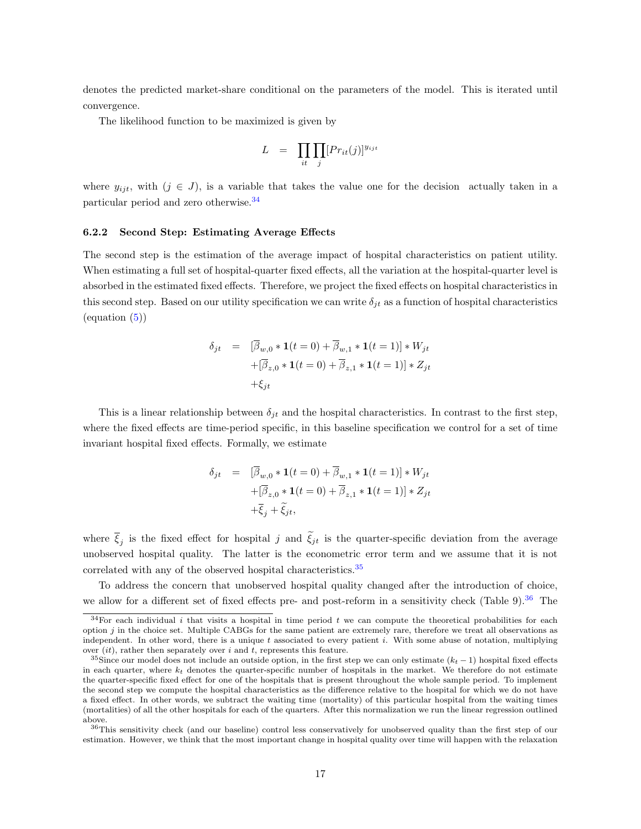denotes the predicted market-share conditional on the parameters of the model. This is iterated until convergence.

The likelihood function to be maximized is given by

$$
L = \prod_{it} \prod_j [Pr_{it}(j)]^{y_{ijt}}
$$

where  $y_{ijt}$ , with  $(j \in J)$ , is a variable that takes the value one for the decision actually taken in a particular period and zero otherwise.[34](#page-2-0)

#### 6.2.2 Second Step: Estimating Average Effects

The second step is the estimation of the average impact of hospital characteristics on patient utility. When estimating a full set of hospital-quarter fixed effects, all the variation at the hospital-quarter level is absorbed in the estimated fixed effects. Therefore, we project the fixed effects on hospital characteristics in this second step. Based on our utility specification we can write  $\delta_{jt}$  as a function of hospital characteristics  $\left($ equation  $(5)$ )

$$
\delta_{jt} = [\overline{\beta}_{w,0} * \mathbf{1}(t=0) + \overline{\beta}_{w,1} * \mathbf{1}(t=1)] * W_{jt}
$$

$$
+ [\overline{\beta}_{z,0} * \mathbf{1}(t=0) + \overline{\beta}_{z,1} * \mathbf{1}(t=1)] * Z_{jt}
$$

$$
+ \xi_{jt}
$$

This is a linear relationship between  $\delta_{it}$  and the hospital characteristics. In contrast to the first step, where the fixed effects are time-period specific, in this baseline specification we control for a set of time invariant hospital fixed effects. Formally, we estimate

$$
\delta_{jt} = [\overline{\beta}_{w,0} * \mathbf{1}(t=0) + \overline{\beta}_{w,1} * \mathbf{1}(t=1)] * W_{jt}
$$
  
+
$$
[\overline{\beta}_{z,0} * \mathbf{1}(t=0) + \overline{\beta}_{z,1} * \mathbf{1}(t=1)] * Z_{jt}
$$
  
+
$$
\overline{\xi}_{j} + \widetilde{\xi}_{jt},
$$

where  $\xi_j$  is the fixed effect for hospital j and  $\xi_{jt}$  is the quarter-specific deviation from the average unobserved hospital quality. The latter is the econometric error term and we assume that it is not correlated with any of the observed hospital characteristics.<sup>[35](#page-2-0)</sup>

To address the concern that unobserved hospital quality changed after the introduction of choice, we allow for a different set of fixed effects pre- and post-reform in a sensitivity check (Table 9).<sup>[36](#page-2-0)</sup> The

 $34$ For each individual i that visits a hospital in time period t we can compute the theoretical probabilities for each option  $j$  in the choice set. Multiple CABGs for the same patient are extremely rare, therefore we treat all observations as independent. In other word, there is a unique  $t$  associated to every patient  $i$ . With some abuse of notation, multiplying over  $(it)$ , rather then separately over i and t, represents this feature.

<sup>&</sup>lt;sup>35</sup>Since our model does not include an outside option, in the first step we can only estimate  $(k_t - 1)$  hospital fixed effects in each quarter, where  $k_t$  denotes the quarter-specific number of hospitals in the market. We therefore do not estimate the quarter-specific fixed effect for one of the hospitals that is present throughout the whole sample period. To implement the second step we compute the hospital characteristics as the difference relative to the hospital for which we do not have a fixed effect. In other words, we subtract the waiting time (mortality) of this particular hospital from the waiting times (mortalities) of all the other hospitals for each of the quarters. After this normalization we run the linear regression outlined above.

<sup>36</sup>This sensitivity check (and our baseline) control less conservatively for unobserved quality than the first step of our estimation. However, we think that the most important change in hospital quality over time will happen with the relaxation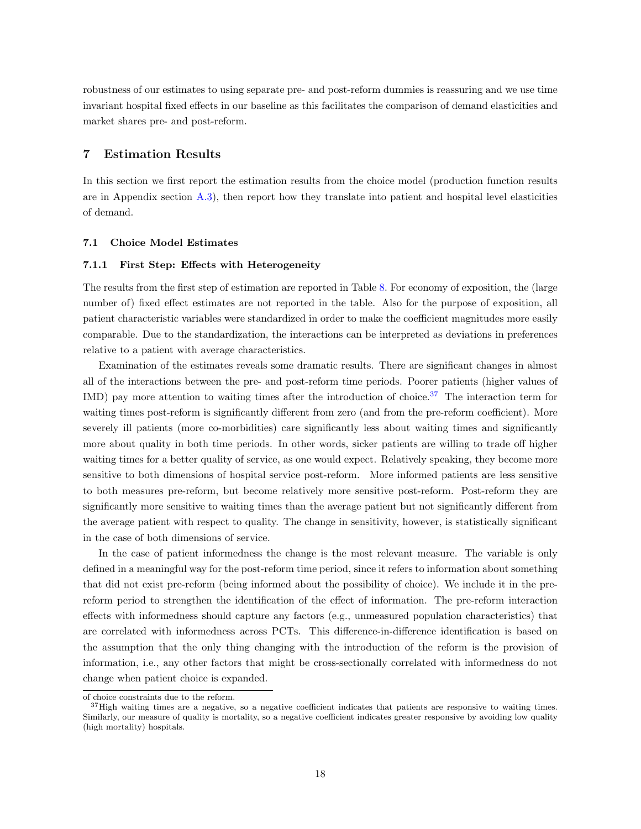robustness of our estimates to using separate pre- and post-reform dummies is reassuring and we use time invariant hospital fixed effects in our baseline as this facilitates the comparison of demand elasticities and market shares pre- and post-reform.

#### <span id="page-21-0"></span>7 Estimation Results

In this section we first report the estimation results from the choice model (production function results are in Appendix section [A.3\)](#page-45-0), then report how they translate into patient and hospital level elasticities of demand.

#### 7.1 Choice Model Estimates

#### 7.1.1 First Step: Effects with Heterogeneity

The results from the first step of estimation are reported in Table [8.](#page-37-0) For economy of exposition, the (large number of) fixed effect estimates are not reported in the table. Also for the purpose of exposition, all patient characteristic variables were standardized in order to make the coefficient magnitudes more easily comparable. Due to the standardization, the interactions can be interpreted as deviations in preferences relative to a patient with average characteristics.

Examination of the estimates reveals some dramatic results. There are significant changes in almost all of the interactions between the pre- and post-reform time periods. Poorer patients (higher values of IMD) pay more attention to waiting times after the introduction of choice.<sup>[37](#page-2-0)</sup> The interaction term for waiting times post-reform is significantly different from zero (and from the pre-reform coefficient). More severely ill patients (more co-morbidities) care significantly less about waiting times and significantly more about quality in both time periods. In other words, sicker patients are willing to trade off higher waiting times for a better quality of service, as one would expect. Relatively speaking, they become more sensitive to both dimensions of hospital service post-reform. More informed patients are less sensitive to both measures pre-reform, but become relatively more sensitive post-reform. Post-reform they are significantly more sensitive to waiting times than the average patient but not significantly different from the average patient with respect to quality. The change in sensitivity, however, is statistically significant in the case of both dimensions of service.

In the case of patient informedness the change is the most relevant measure. The variable is only defined in a meaningful way for the post-reform time period, since it refers to information about something that did not exist pre-reform (being informed about the possibility of choice). We include it in the prereform period to strengthen the identification of the effect of information. The pre-reform interaction effects with informedness should capture any factors (e.g., unmeasured population characteristics) that are correlated with informedness across PCTs. This difference-in-difference identification is based on the assumption that the only thing changing with the introduction of the reform is the provision of information, i.e., any other factors that might be cross-sectionally correlated with informedness do not change when patient choice is expanded.

of choice constraints due to the reform.

<sup>&</sup>lt;sup>37</sup>High waiting times are a negative, so a negative coefficient indicates that patients are responsive to waiting times. Similarly, our measure of quality is mortality, so a negative coefficient indicates greater responsive by avoiding low quality (high mortality) hospitals.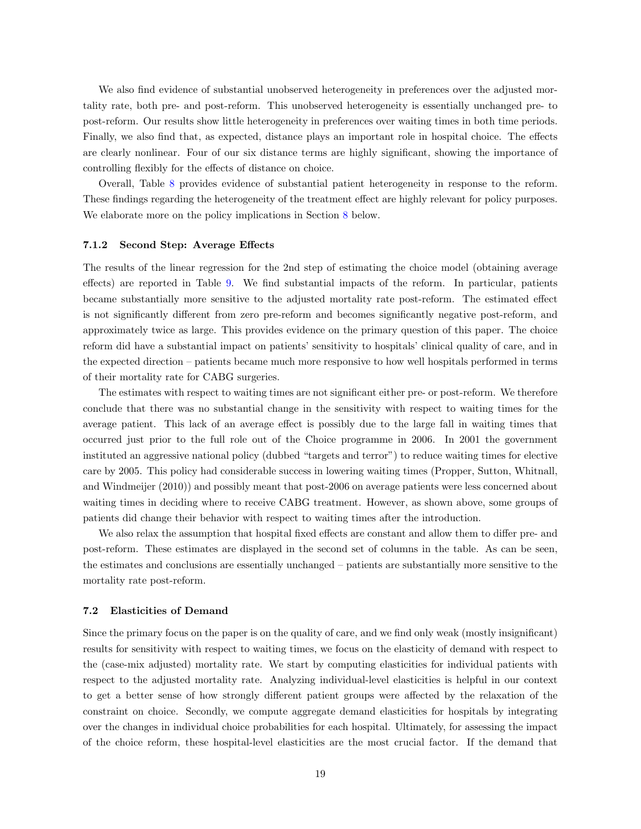We also find evidence of substantial unobserved heterogeneity in preferences over the adjusted mortality rate, both pre- and post-reform. This unobserved heterogeneity is essentially unchanged pre- to post-reform. Our results show little heterogeneity in preferences over waiting times in both time periods. Finally, we also find that, as expected, distance plays an important role in hospital choice. The effects are clearly nonlinear. Four of our six distance terms are highly significant, showing the importance of controlling flexibly for the effects of distance on choice.

Overall, Table [8](#page-37-0) provides evidence of substantial patient heterogeneity in response to the reform. These findings regarding the heterogeneity of the treatment effect are highly relevant for policy purposes. We elaborate more on the policy implications in Section [8](#page-24-0) below.

#### 7.1.2 Second Step: Average Effects

The results of the linear regression for the 2nd step of estimating the choice model (obtaining average effects) are reported in Table [9.](#page-38-0) We find substantial impacts of the reform. In particular, patients became substantially more sensitive to the adjusted mortality rate post-reform. The estimated effect is not significantly different from zero pre-reform and becomes significantly negative post-reform, and approximately twice as large. This provides evidence on the primary question of this paper. The choice reform did have a substantial impact on patients' sensitivity to hospitals' clinical quality of care, and in the expected direction – patients became much more responsive to how well hospitals performed in terms of their mortality rate for CABG surgeries.

The estimates with respect to waiting times are not significant either pre- or post-reform. We therefore conclude that there was no substantial change in the sensitivity with respect to waiting times for the average patient. This lack of an average effect is possibly due to the large fall in waiting times that occurred just prior to the full role out of the Choice programme in 2006. In 2001 the government instituted an aggressive national policy (dubbed "targets and terror") to reduce waiting times for elective care by 2005. This policy had considerable success in lowering waiting times (Propper, Sutton, Whitnall, and Windmeijer (2010)) and possibly meant that post-2006 on average patients were less concerned about waiting times in deciding where to receive CABG treatment. However, as shown above, some groups of patients did change their behavior with respect to waiting times after the introduction.

We also relax the assumption that hospital fixed effects are constant and allow them to differ pre- and post-reform. These estimates are displayed in the second set of columns in the table. As can be seen, the estimates and conclusions are essentially unchanged – patients are substantially more sensitive to the mortality rate post-reform.

#### 7.2 Elasticities of Demand

Since the primary focus on the paper is on the quality of care, and we find only weak (mostly insignificant) results for sensitivity with respect to waiting times, we focus on the elasticity of demand with respect to the (case-mix adjusted) mortality rate. We start by computing elasticities for individual patients with respect to the adjusted mortality rate. Analyzing individual-level elasticities is helpful in our context to get a better sense of how strongly different patient groups were affected by the relaxation of the constraint on choice. Secondly, we compute aggregate demand elasticities for hospitals by integrating over the changes in individual choice probabilities for each hospital. Ultimately, for assessing the impact of the choice reform, these hospital-level elasticities are the most crucial factor. If the demand that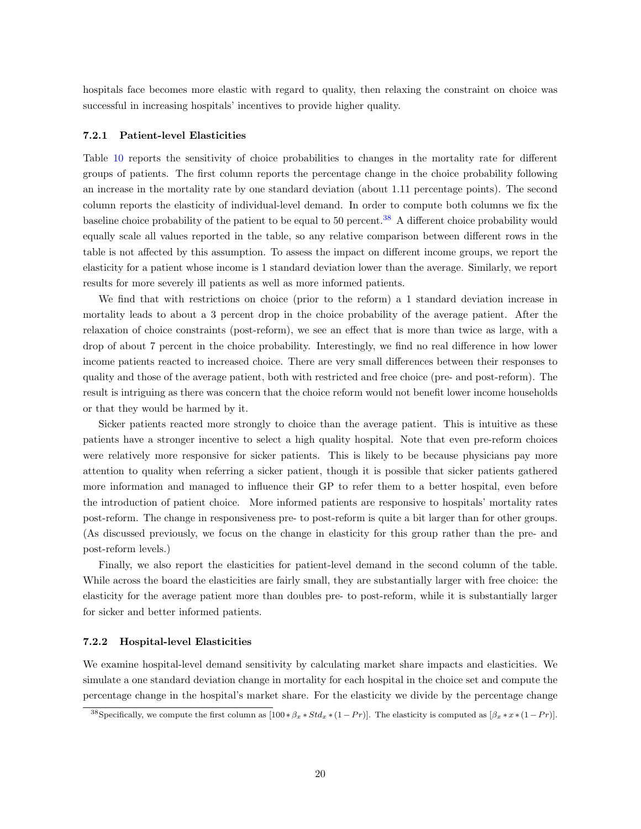hospitals face becomes more elastic with regard to quality, then relaxing the constraint on choice was successful in increasing hospitals' incentives to provide higher quality.

#### 7.2.1 Patient-level Elasticities

Table [10](#page-39-0) reports the sensitivity of choice probabilities to changes in the mortality rate for different groups of patients. The first column reports the percentage change in the choice probability following an increase in the mortality rate by one standard deviation (about 1.11 percentage points). The second column reports the elasticity of individual-level demand. In order to compute both columns we fix the baseline choice probability of the patient to be equal to 50 percent.[38](#page-2-0) A different choice probability would equally scale all values reported in the table, so any relative comparison between different rows in the table is not affected by this assumption. To assess the impact on different income groups, we report the elasticity for a patient whose income is 1 standard deviation lower than the average. Similarly, we report results for more severely ill patients as well as more informed patients.

We find that with restrictions on choice (prior to the reform) a 1 standard deviation increase in mortality leads to about a 3 percent drop in the choice probability of the average patient. After the relaxation of choice constraints (post-reform), we see an effect that is more than twice as large, with a drop of about 7 percent in the choice probability. Interestingly, we find no real difference in how lower income patients reacted to increased choice. There are very small differences between their responses to quality and those of the average patient, both with restricted and free choice (pre- and post-reform). The result is intriguing as there was concern that the choice reform would not benefit lower income households or that they would be harmed by it.

Sicker patients reacted more strongly to choice than the average patient. This is intuitive as these patients have a stronger incentive to select a high quality hospital. Note that even pre-reform choices were relatively more responsive for sicker patients. This is likely to be because physicians pay more attention to quality when referring a sicker patient, though it is possible that sicker patients gathered more information and managed to influence their GP to refer them to a better hospital, even before the introduction of patient choice. More informed patients are responsive to hospitals' mortality rates post-reform. The change in responsiveness pre- to post-reform is quite a bit larger than for other groups. (As discussed previously, we focus on the change in elasticity for this group rather than the pre- and post-reform levels.)

Finally, we also report the elasticities for patient-level demand in the second column of the table. While across the board the elasticities are fairly small, they are substantially larger with free choice: the elasticity for the average patient more than doubles pre- to post-reform, while it is substantially larger for sicker and better informed patients.

#### 7.2.2 Hospital-level Elasticities

We examine hospital-level demand sensitivity by calculating market share impacts and elasticities. We simulate a one standard deviation change in mortality for each hospital in the choice set and compute the percentage change in the hospital's market share. For the elasticity we divide by the percentage change

<sup>&</sup>lt;sup>38</sup>Specifically, we compute the first column as  $[100 * \beta_x * Std_x * (1 - Pr)]$ . The elasticity is computed as  $[\beta_x * x * (1 - Pr)]$ .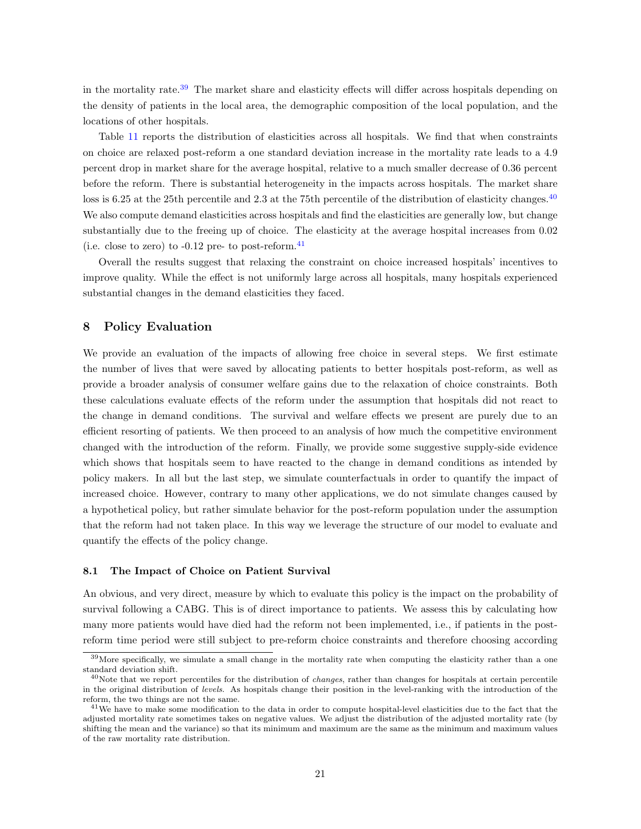in the mortality rate.<sup>[39](#page-2-0)</sup> The market share and elasticity effects will differ across hospitals depending on the density of patients in the local area, the demographic composition of the local population, and the locations of other hospitals.

Table [11](#page-40-0) reports the distribution of elasticities across all hospitals. We find that when constraints on choice are relaxed post-reform a one standard deviation increase in the mortality rate leads to a 4.9 percent drop in market share for the average hospital, relative to a much smaller decrease of 0.36 percent before the reform. There is substantial heterogeneity in the impacts across hospitals. The market share loss is 6.25 at the 25th percentile and 2.3 at the 75th percentile of the distribution of elasticity changes.<sup>[40](#page-2-0)</sup> We also compute demand elasticities across hospitals and find the elasticities are generally low, but change substantially due to the freeing up of choice. The elasticity at the average hospital increases from  $0.02$ (i.e. close to zero) to  $-0.12$  pre- to post-reform.  $41$ 

Overall the results suggest that relaxing the constraint on choice increased hospitals' incentives to improve quality. While the effect is not uniformly large across all hospitals, many hospitals experienced substantial changes in the demand elasticities they faced.

#### <span id="page-24-0"></span>8 Policy Evaluation

We provide an evaluation of the impacts of allowing free choice in several steps. We first estimate the number of lives that were saved by allocating patients to better hospitals post-reform, as well as provide a broader analysis of consumer welfare gains due to the relaxation of choice constraints. Both these calculations evaluate effects of the reform under the assumption that hospitals did not react to the change in demand conditions. The survival and welfare effects we present are purely due to an efficient resorting of patients. We then proceed to an analysis of how much the competitive environment changed with the introduction of the reform. Finally, we provide some suggestive supply-side evidence which shows that hospitals seem to have reacted to the change in demand conditions as intended by policy makers. In all but the last step, we simulate counterfactuals in order to quantify the impact of increased choice. However, contrary to many other applications, we do not simulate changes caused by a hypothetical policy, but rather simulate behavior for the post-reform population under the assumption that the reform had not taken place. In this way we leverage the structure of our model to evaluate and quantify the effects of the policy change.

#### 8.1 The Impact of Choice on Patient Survival

An obvious, and very direct, measure by which to evaluate this policy is the impact on the probability of survival following a CABG. This is of direct importance to patients. We assess this by calculating how many more patients would have died had the reform not been implemented, i.e., if patients in the postreform time period were still subject to pre-reform choice constraints and therefore choosing according

<sup>&</sup>lt;sup>39</sup>More specifically, we simulate a small change in the mortality rate when computing the elasticity rather than a one standard deviation shift.

 $^{40}$ Note that we report percentiles for the distribution of *changes*, rather than changes for hospitals at certain percentile in the original distribution of levels. As hospitals change their position in the level-ranking with the introduction of the reform, the two things are not the same.

<sup>&</sup>lt;sup>41</sup>We have to make some modification to the data in order to compute hospital-level elasticities due to the fact that the adjusted mortality rate sometimes takes on negative values. We adjust the distribution of the adjusted mortality rate (by shifting the mean and the variance) so that its minimum and maximum are the same as the minimum and maximum values of the raw mortality rate distribution.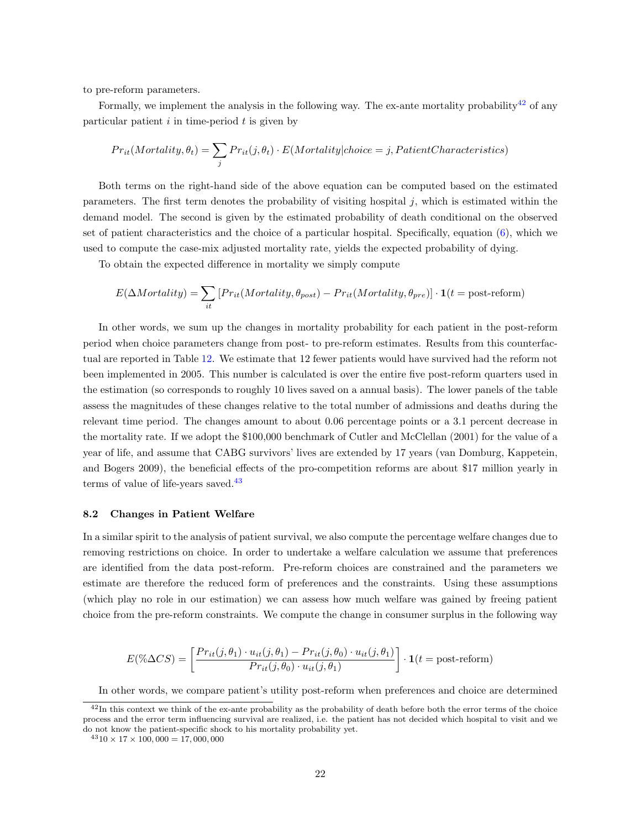to pre-reform parameters.

Formally, we implement the analysis in the following way. The ex-ante mortality probability<sup>[42](#page-2-0)</sup> of any particular patient  $i$  in time-period  $t$  is given by

$$
Pr_{it}(Mortality, \theta_t) = \sum_j Pr_{it}(j, \theta_t) \cdot E(Mortality| choice = j, Patient Characteristics)
$$

Both terms on the right-hand side of the above equation can be computed based on the estimated parameters. The first term denotes the probability of visiting hospital  $j$ , which is estimated within the demand model. The second is given by the estimated probability of death conditional on the observed set of patient characteristics and the choice of a particular hospital. Specifically, equation [\(6\)](#page-9-0), which we used to compute the case-mix adjusted mortality rate, yields the expected probability of dying.

To obtain the expected difference in mortality we simply compute

$$
E(\Delta Mortality) = \sum_{it} [Pr_{it}(Mortality, \theta_{post}) - Pr_{it}(Mortality, \theta_{pre})] \cdot \mathbf{1}(t = post-reform)
$$

In other words, we sum up the changes in mortality probability for each patient in the post-reform period when choice parameters change from post- to pre-reform estimates. Results from this counterfactual are reported in Table [12.](#page-40-1) We estimate that 12 fewer patients would have survived had the reform not been implemented in 2005. This number is calculated is over the entire five post-reform quarters used in the estimation (so corresponds to roughly 10 lives saved on a annual basis). The lower panels of the table assess the magnitudes of these changes relative to the total number of admissions and deaths during the relevant time period. The changes amount to about 0.06 percentage points or a 3.1 percent decrease in the mortality rate. If we adopt the \$100,000 benchmark of Cutler and McClellan (2001) for the value of a year of life, and assume that CABG survivors' lives are extended by 17 years (van Domburg, Kappetein, and Bogers 2009), the beneficial effects of the pro-competition reforms are about \$17 million yearly in terms of value of life-years saved.<sup>[43](#page-2-0)</sup>

#### 8.2 Changes in Patient Welfare

In a similar spirit to the analysis of patient survival, we also compute the percentage welfare changes due to removing restrictions on choice. In order to undertake a welfare calculation we assume that preferences are identified from the data post-reform. Pre-reform choices are constrained and the parameters we estimate are therefore the reduced form of preferences and the constraints. Using these assumptions (which play no role in our estimation) we can assess how much welfare was gained by freeing patient choice from the pre-reform constraints. We compute the change in consumer surplus in the following way

$$
E(\% \Delta CS) = \left[ \frac{Pr_{it}(j, \theta_1) \cdot u_{it}(j, \theta_1) - Pr_{it}(j, \theta_0) \cdot u_{it}(j, \theta_1)}{Pr_{it}(j, \theta_0) \cdot u_{it}(j, \theta_1)} \right] \cdot \mathbf{1}(t = \text{post-reform})
$$

In other words, we compare patient's utility post-reform when preferences and choice are determined

 $42$ In this context we think of the ex-ante probability as the probability of death before both the error terms of the choice process and the error term influencing survival are realized, i.e. the patient has not decided which hospital to visit and we do not know the patient-specific shock to his mortality probability yet.

 $4310 \times 17 \times 100,000 = 17,000,000$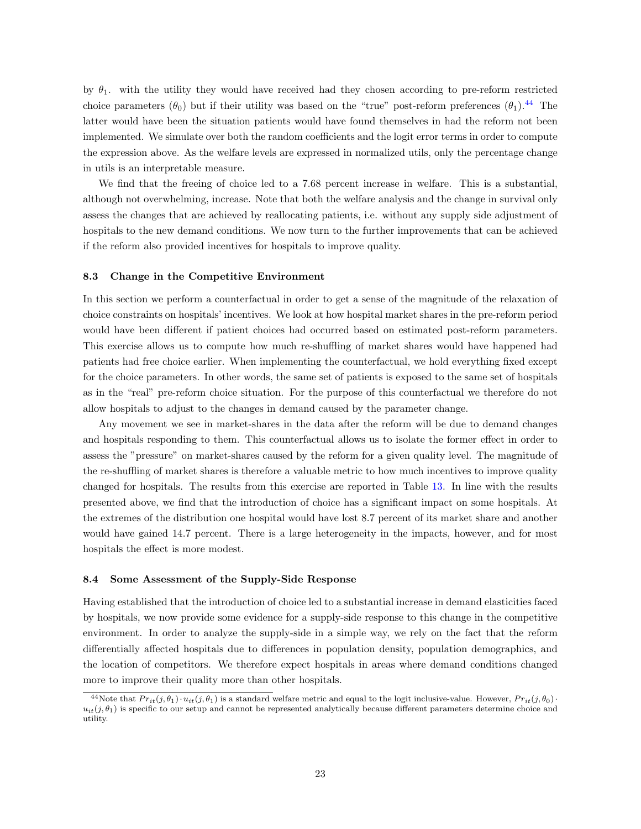by  $\theta_1$ . with the utility they would have received had they chosen according to pre-reform restricted choice parameters  $(\theta_0)$  but if their utility was based on the "true" post-reform preferences  $(\theta_1)$ .<sup>[44](#page-2-0)</sup> The latter would have been the situation patients would have found themselves in had the reform not been implemented. We simulate over both the random coefficients and the logit error terms in order to compute the expression above. As the welfare levels are expressed in normalized utils, only the percentage change in utils is an interpretable measure.

We find that the freeing of choice led to a 7.68 percent increase in welfare. This is a substantial, although not overwhelming, increase. Note that both the welfare analysis and the change in survival only assess the changes that are achieved by reallocating patients, i.e. without any supply side adjustment of hospitals to the new demand conditions. We now turn to the further improvements that can be achieved if the reform also provided incentives for hospitals to improve quality.

#### 8.3 Change in the Competitive Environment

In this section we perform a counterfactual in order to get a sense of the magnitude of the relaxation of choice constraints on hospitals' incentives. We look at how hospital market shares in the pre-reform period would have been different if patient choices had occurred based on estimated post-reform parameters. This exercise allows us to compute how much re-shuffling of market shares would have happened had patients had free choice earlier. When implementing the counterfactual, we hold everything fixed except for the choice parameters. In other words, the same set of patients is exposed to the same set of hospitals as in the "real" pre-reform choice situation. For the purpose of this counterfactual we therefore do not allow hospitals to adjust to the changes in demand caused by the parameter change.

Any movement we see in market-shares in the data after the reform will be due to demand changes and hospitals responding to them. This counterfactual allows us to isolate the former effect in order to assess the "pressure" on market-shares caused by the reform for a given quality level. The magnitude of the re-shuffling of market shares is therefore a valuable metric to how much incentives to improve quality changed for hospitals. The results from this exercise are reported in Table [13.](#page-41-0) In line with the results presented above, we find that the introduction of choice has a significant impact on some hospitals. At the extremes of the distribution one hospital would have lost 8.7 percent of its market share and another would have gained 14.7 percent. There is a large heterogeneity in the impacts, however, and for most hospitals the effect is more modest.

#### 8.4 Some Assessment of the Supply-Side Response

Having established that the introduction of choice led to a substantial increase in demand elasticities faced by hospitals, we now provide some evidence for a supply-side response to this change in the competitive environment. In order to analyze the supply-side in a simple way, we rely on the fact that the reform differentially affected hospitals due to differences in population density, population demographics, and the location of competitors. We therefore expect hospitals in areas where demand conditions changed more to improve their quality more than other hospitals.

<sup>&</sup>lt;sup>44</sup>Note that  $Pr_{it}(j, \theta_1) \cdot u_{it}(j, \theta_1)$  is a standard welfare metric and equal to the logit inclusive-value. However,  $Pr_{it}(j, \theta_0) \cdot u_{it}(j, \theta_1)$  $u_{it}(j, \theta_1)$  is specific to our setup and cannot be represented analytically because different parameters determine choice and utility.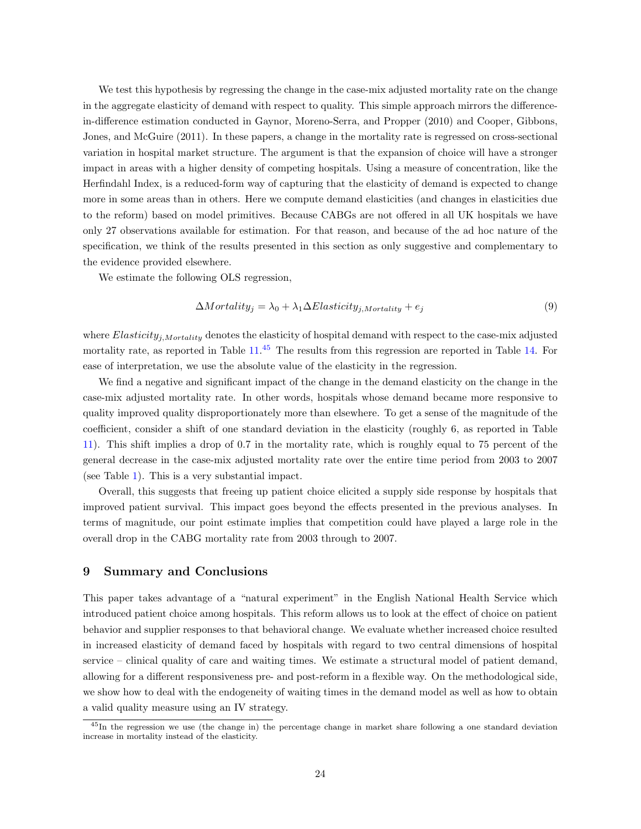We test this hypothesis by regressing the change in the case-mix adjusted mortality rate on the change in the aggregate elasticity of demand with respect to quality. This simple approach mirrors the differencein-difference estimation conducted in Gaynor, Moreno-Serra, and Propper (2010) and Cooper, Gibbons, Jones, and McGuire (2011). In these papers, a change in the mortality rate is regressed on cross-sectional variation in hospital market structure. The argument is that the expansion of choice will have a stronger impact in areas with a higher density of competing hospitals. Using a measure of concentration, like the Herfindahl Index, is a reduced-form way of capturing that the elasticity of demand is expected to change more in some areas than in others. Here we compute demand elasticities (and changes in elasticities due to the reform) based on model primitives. Because CABGs are not offered in all UK hospitals we have only 27 observations available for estimation. For that reason, and because of the ad hoc nature of the specification, we think of the results presented in this section as only suggestive and complementary to the evidence provided elsewhere.

We estimate the following OLS regression,

$$
\Delta Mortality_j = \lambda_0 + \lambda_1 \Delta Elasticity_{j,Mortality} + e_j \tag{9}
$$

where  $Elasticity_{i,Mortality}$  denotes the elasticity of hospital demand with respect to the case-mix adjusted mortality rate, as reported in Table  $11<sup>45</sup>$  $11<sup>45</sup>$  $11<sup>45</sup>$  The results from this regression are reported in Table [14.](#page-41-1) For ease of interpretation, we use the absolute value of the elasticity in the regression.

We find a negative and significant impact of the change in the demand elasticity on the change in the case-mix adjusted mortality rate. In other words, hospitals whose demand became more responsive to quality improved quality disproportionately more than elsewhere. To get a sense of the magnitude of the coefficient, consider a shift of one standard deviation in the elasticity (roughly 6, as reported in Table [11\)](#page-40-0). This shift implies a drop of 0.7 in the mortality rate, which is roughly equal to 75 percent of the general decrease in the case-mix adjusted mortality rate over the entire time period from 2003 to 2007 (see Table [1\)](#page-31-0). This is a very substantial impact.

Overall, this suggests that freeing up patient choice elicited a supply side response by hospitals that improved patient survival. This impact goes beyond the effects presented in the previous analyses. In terms of magnitude, our point estimate implies that competition could have played a large role in the overall drop in the CABG mortality rate from 2003 through to 2007.

#### 9 Summary and Conclusions

This paper takes advantage of a "natural experiment" in the English National Health Service which introduced patient choice among hospitals. This reform allows us to look at the effect of choice on patient behavior and supplier responses to that behavioral change. We evaluate whether increased choice resulted in increased elasticity of demand faced by hospitals with regard to two central dimensions of hospital service – clinical quality of care and waiting times. We estimate a structural model of patient demand, allowing for a different responsiveness pre- and post-reform in a flexible way. On the methodological side, we show how to deal with the endogeneity of waiting times in the demand model as well as how to obtain a valid quality measure using an IV strategy.

<sup>&</sup>lt;sup>45</sup>In the regression we use (the change in) the percentage change in market share following a one standard deviation increase in mortality instead of the elasticity.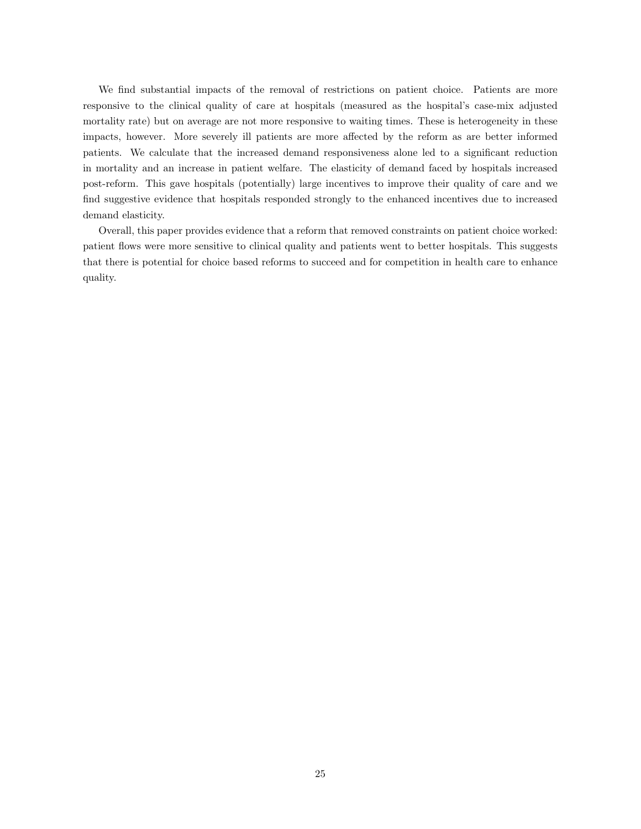We find substantial impacts of the removal of restrictions on patient choice. Patients are more responsive to the clinical quality of care at hospitals (measured as the hospital's case-mix adjusted mortality rate) but on average are not more responsive to waiting times. These is heterogeneity in these impacts, however. More severely ill patients are more affected by the reform as are better informed patients. We calculate that the increased demand responsiveness alone led to a significant reduction in mortality and an increase in patient welfare. The elasticity of demand faced by hospitals increased post-reform. This gave hospitals (potentially) large incentives to improve their quality of care and we find suggestive evidence that hospitals responded strongly to the enhanced incentives due to increased demand elasticity.

Overall, this paper provides evidence that a reform that removed constraints on patient choice worked: patient flows were more sensitive to clinical quality and patients went to better hospitals. This suggests that there is potential for choice based reforms to succeed and for competition in health care to enhance quality.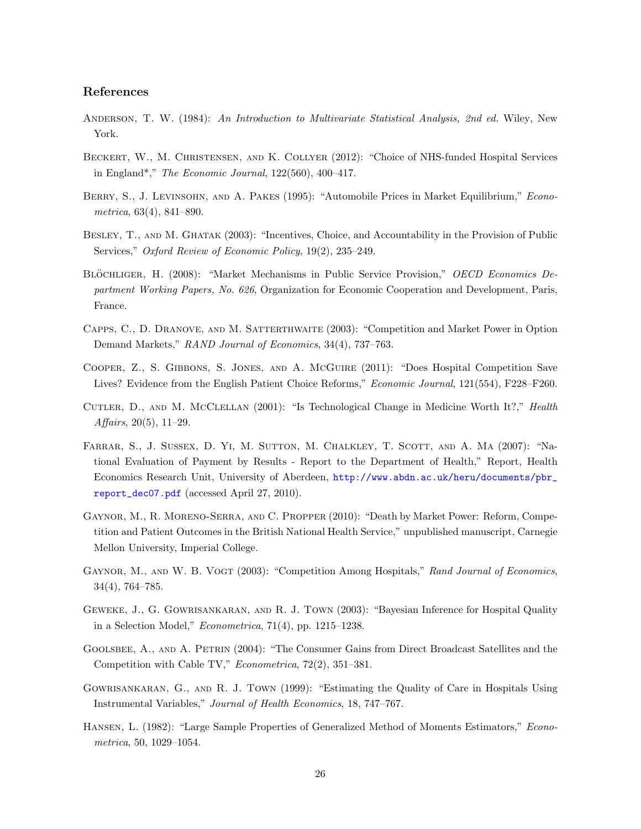### References

- ANDERSON, T. W. (1984): An Introduction to Multivariate Statistical Analysis, 2nd ed. Wiley, New York.
- Beckert, W., M. Christensen, and K. Collyer (2012): "Choice of NHS-funded Hospital Services in England\*," The Economic Journal, 122(560), 400–417.
- BERRY, S., J. LEVINSOHN, AND A. PAKES (1995): "Automobile Prices in Market Equilibrium," Econometrica, 63(4), 841–890.
- Besley, T., and M. Ghatak (2003): "Incentives, Choice, and Accountability in the Provision of Public Services," Oxford Review of Economic Policy, 19(2), 235–249.
- BLÖCHLIGER, H. (2008): "Market Mechanisms in Public Service Provision," OECD Economics Department Working Papers, No. 626, Organization for Economic Cooperation and Development, Paris, France.
- Capps, C., D. Dranove, and M. Satterthwaite (2003): "Competition and Market Power in Option Demand Markets," RAND Journal of Economics, 34(4), 737-763.
- Cooper, Z., S. Gibbons, S. Jones, and A. McGuire (2011): "Does Hospital Competition Save Lives? Evidence from the English Patient Choice Reforms," Economic Journal, 121(554), F228–F260.
- Cutler, D., and M. McClellan (2001): "Is Technological Change in Medicine Worth It?," Health Affairs, 20(5), 11–29.
- Farrar, S., J. Sussex, D. Yi, M. Sutton, M. Chalkley, T. Scott, and A. Ma (2007): "National Evaluation of Payment by Results - Report to the Department of Health," Report, Health Economics Research Unit, University of Aberdeen, [http://www.abdn.ac.uk/heru/documents/pbr\\_](http://www.abdn.ac.uk/heru/documents/pbr_report_dec07.pdf) [report\\_dec07.pdf](http://www.abdn.ac.uk/heru/documents/pbr_report_dec07.pdf) (accessed April 27, 2010).
- Gaynor, M., R. Moreno-Serra, and C. Propper (2010): "Death by Market Power: Reform, Competition and Patient Outcomes in the British National Health Service," unpublished manuscript, Carnegie Mellon University, Imperial College.
- GAYNOR, M., AND W. B. VOGT (2003): "Competition Among Hospitals," Rand Journal of Economics, 34(4), 764–785.
- Geweke, J., G. Gowrisankaran, and R. J. Town (2003): "Bayesian Inference for Hospital Quality in a Selection Model," Econometrica, 71(4), pp. 1215–1238.
- Goolsbee, A., and A. Petrin (2004): "The Consumer Gains from Direct Broadcast Satellites and the Competition with Cable TV," Econometrica, 72(2), 351–381.
- Gowrisankaran, G., and R. J. Town (1999): "Estimating the Quality of Care in Hospitals Using Instrumental Variables," Journal of Health Economics, 18, 747–767.
- Hansen, L. (1982): "Large Sample Properties of Generalized Method of Moments Estimators," Econometrica, 50, 1029–1054.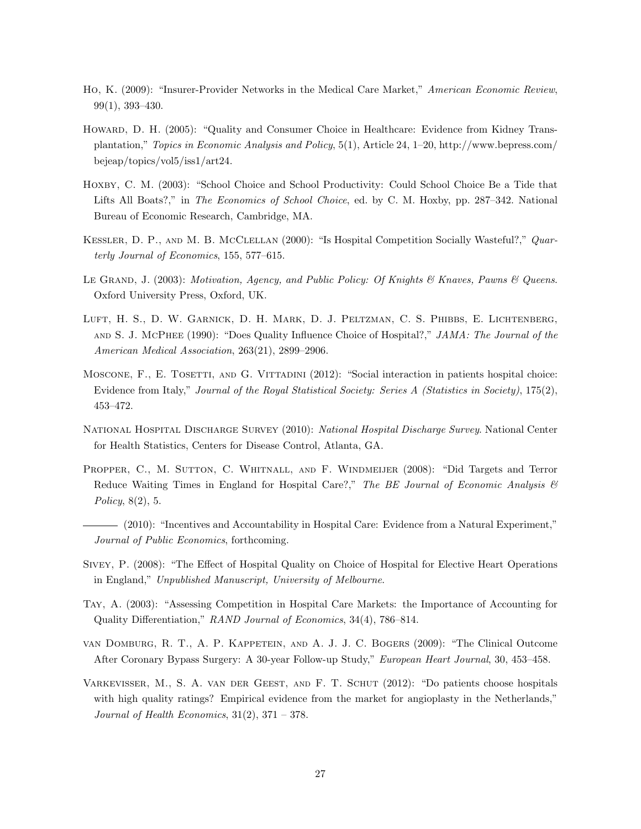- Ho, K. (2009): "Insurer-Provider Networks in the Medical Care Market," American Economic Review, 99(1), 393–430.
- HOWARD, D. H. (2005): "Quality and Consumer Choice in Healthcare: Evidence from Kidney Transplantation," Topics in Economic Analysis and Policy, 5(1), Article 24, 1–20, http://www.bepress.com/ bejeap/topics/vol5/iss1/art24.
- HOXBY, C. M. (2003): "School Choice and School Productivity: Could School Choice Be a Tide that Lifts All Boats?," in *The Economics of School Choice*, ed. by C. M. Hoxby, pp. 287–342. National Bureau of Economic Research, Cambridge, MA.
- KESSLER, D. P., AND M. B. MCCLELLAN (2000): "Is Hospital Competition Socially Wasteful?," Quarterly Journal of Economics, 155, 577–615.
- LE GRAND, J. (2003): Motivation, Agency, and Public Policy: Of Knights & Knaves, Pawns & Queens. Oxford University Press, Oxford, UK.
- LUFT, H. S., D. W. GARNICK, D. H. MARK, D. J. PELTZMAN, C. S. PHIBBS, E. LICHTENBERG, AND S. J. MCPHEE (1990): "Does Quality Influence Choice of Hospital?," JAMA: The Journal of the American Medical Association, 263(21), 2899–2906.
- MOSCONE, F., E. TOSETTI, AND G. VITTADINI (2012): "Social interaction in patients hospital choice: Evidence from Italy," Journal of the Royal Statistical Society: Series A (Statistics in Society), 175(2), 453–472.
- NATIONAL HOSPITAL DISCHARGE SURVEY (2010): National Hospital Discharge Survey. National Center for Health Statistics, Centers for Disease Control, Atlanta, GA.
- PROPPER, C., M. SUTTON, C. WHITNALL, AND F. WINDMEIJER (2008): "Did Targets and Terror Reduce Waiting Times in England for Hospital Care?," The BE Journal of Economic Analysis  $\mathcal{B}$ Policy, 8(2), 5.
- (2010): "Incentives and Accountability in Hospital Care: Evidence from a Natural Experiment," Journal of Public Economics, forthcoming.
- Sivey, P. (2008): "The Effect of Hospital Quality on Choice of Hospital for Elective Heart Operations in England," Unpublished Manuscript, University of Melbourne.
- Tay, A. (2003): "Assessing Competition in Hospital Care Markets: the Importance of Accounting for Quality Differentiation," RAND Journal of Economics, 34(4), 786–814.
- van Domburg, R. T., A. P. Kappetein, and A. J. J. C. Bogers (2009): "The Clinical Outcome After Coronary Bypass Surgery: A 30-year Follow-up Study," European Heart Journal, 30, 453–458.
- Varkevisser, M., S. A. van der Geest, and F. T. Schut (2012): "Do patients choose hospitals with high quality ratings? Empirical evidence from the market for angioplasty in the Netherlands," Journal of Health Economics,  $31(2)$ ,  $371 - 378$ .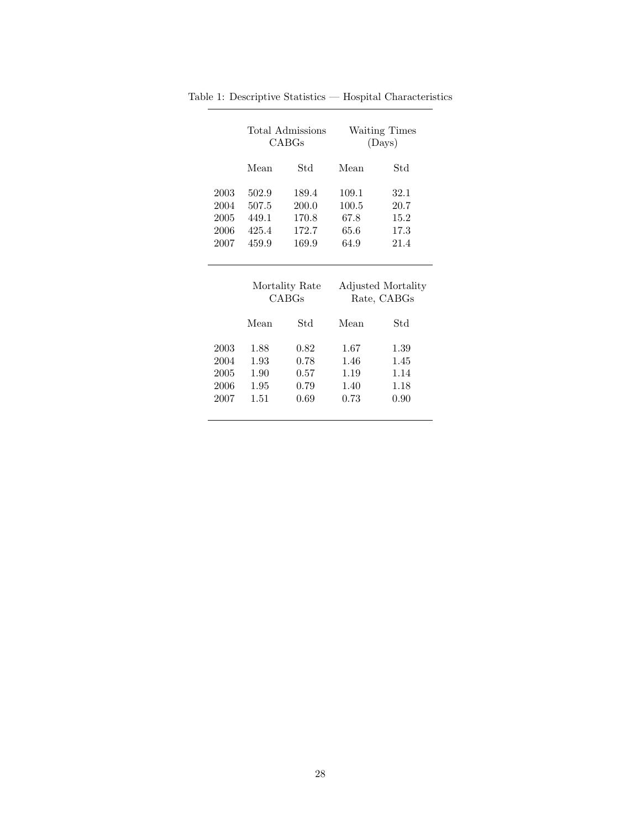<span id="page-31-0"></span>

|      | Total Admissions<br>CABGs        |       | Waiting Times<br>(Days) |                                   |  |  |
|------|----------------------------------|-------|-------------------------|-----------------------------------|--|--|
|      | Mean                             | Std   | Mean                    | Std                               |  |  |
| 2003 | 502.9                            | 189.4 | 109.1                   | 32.1                              |  |  |
| 2004 | 507.5                            | 200.0 | 100.5                   | 20.7                              |  |  |
| 2005 | 449.1<br>170.8<br>172.7<br>425.4 |       | 67.8                    | 15.2                              |  |  |
| 2006 |                                  |       | 65.6                    | 17.3                              |  |  |
| 2007 | 459.9<br>169.9                   |       | 64.9                    | 21.4                              |  |  |
|      | Mortality Rate<br>CABGs          |       |                         | Adjusted Mortality<br>Rate, CABGs |  |  |

Table 1: Descriptive Statistics — Hospital Characteristics

|      | <b>NIOL</b> Latter <b>Rate</b><br>CABGs |      | Aujusteu mortant<br>Rate, CABGs |      |  |
|------|-----------------------------------------|------|---------------------------------|------|--|
|      | Mean                                    | Std  | Mean                            | Std  |  |
| 2003 | 1.88                                    | 0.82 | 1.67                            | 1.39 |  |
| 2004 | 1.93                                    | 0.78 | 1.46                            | 1.45 |  |
| 2005 | 1.90                                    | 0.57 | 1.19                            | 1.14 |  |
| 2006 | 1.95                                    | 0.79 | 1.40                            | 1.18 |  |
| 2007 | 1.51                                    | 0.69 | 0.73                            | 0.90 |  |
|      |                                         |      |                                 |      |  |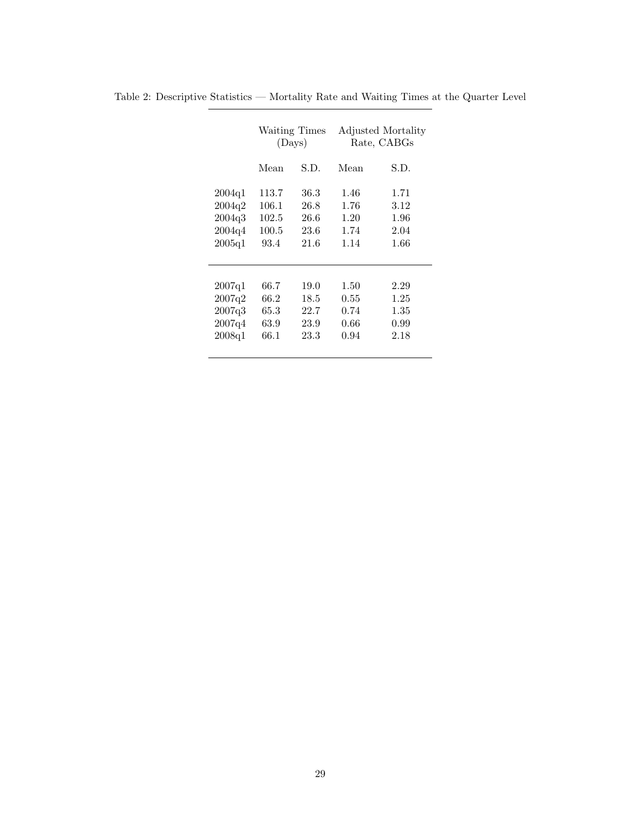|        | Waiting Times<br>(Days) |      | Adjusted Mortality<br>Rate, CABGs |      |  |
|--------|-------------------------|------|-----------------------------------|------|--|
|        | Mean                    | S.D. | Mean                              | S.D. |  |
| 2004q1 | 113.7                   | 36.3 | 1.46                              | 1.71 |  |
| 2004q2 | 106.1                   | 26.8 | 1.76                              | 3.12 |  |
| 2004q3 | 102.5                   | 26.6 | 1.20                              | 1.96 |  |
| 2004q4 | 100.5<br>23.6           |      | 1.74                              | 2.04 |  |
| 2005q1 | 93.4                    | 21.6 | 1.14                              | 1.66 |  |
|        |                         |      |                                   |      |  |
|        |                         |      |                                   |      |  |
| 2007q1 | 66.7                    | 19.0 | 1.50                              | 2.29 |  |
| 2007q2 | 66.2                    | 18.5 | 0.55                              | 1.25 |  |
| 2007q3 | 65.3                    | 22.7 | 0.74                              | 1.35 |  |
| 2007q4 | 63.9                    | 23.9 | 0.66                              | 0.99 |  |
| 2008q1 | 66.1                    | 23.3 | 0.94                              | 2.18 |  |
|        |                         |      |                                   |      |  |

<span id="page-32-0"></span>Table 2: Descriptive Statistics — Mortality Rate and Waiting Times at the Quarter Level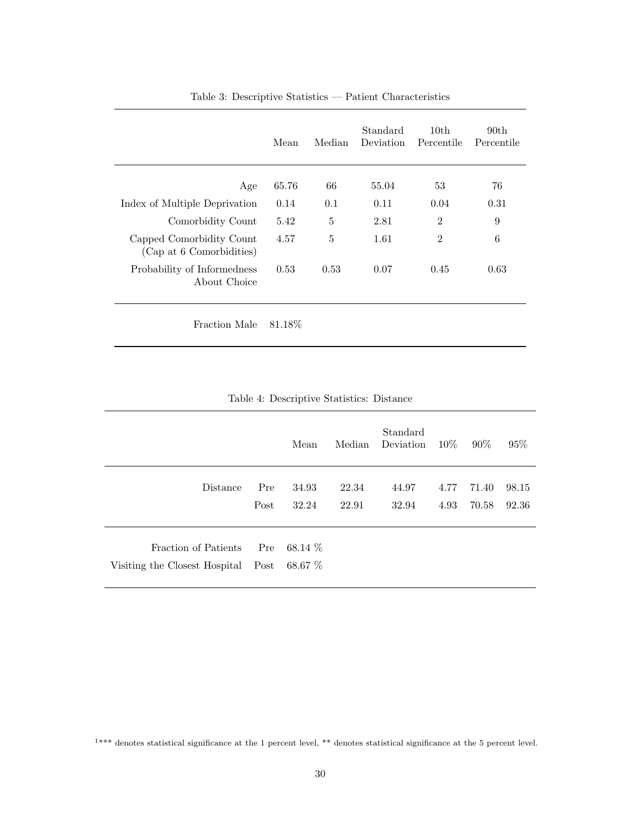|                                                      | Mean    | Median | Standard<br>Deviation | 10th<br>Percentile | 90 <sub>th</sub><br>Percentile |
|------------------------------------------------------|---------|--------|-----------------------|--------------------|--------------------------------|
| Age                                                  | 65.76   | 66     | 55.04                 | 53                 | 76                             |
| Index of Multiple Deprivation                        | 0.14    | 0.1    | 0.11                  | 0.04               | 0.31                           |
| Comorbidity Count                                    | 5.42    | 5      | 2.81                  | $\overline{2}$     | 9                              |
| Capped Comorbidity Count<br>(Cap at 6 Comorbidities) | 4.57    | 5      | 1.61                  | $\overline{2}$     | 6                              |
| Probability of Informedness<br>About Choice          | 0.53    | 0.53   | 0.07                  | 0.45               | 0.63                           |
| Fraction Male                                        | 81.18\% |        |                       |                    |                                |

## <span id="page-33-0"></span>Table 3: Descriptive Statistics — Patient Characteristics

<span id="page-33-1"></span>

|  | Table 4: Descriptive Statistics: Distance |  |  |
|--|-------------------------------------------|--|--|
|--|-------------------------------------------|--|--|

|                                                            |             | Mean                | Median         | Standard<br>Deviation | $10\%$       | $90\%$         | $95\%$         |
|------------------------------------------------------------|-------------|---------------------|----------------|-----------------------|--------------|----------------|----------------|
| Distance                                                   | Pre<br>Post | 34.93<br>32.24      | 22.34<br>22.91 | 44.97<br>32.94        | 4.77<br>4.93 | 71.40<br>70.58 | 98.15<br>92.36 |
| Fraction of Patients<br>Visiting the Closest Hospital Post | Pre         | 68.14 $%$<br>68.67% |                |                       |              |                |                |

<sup>1</sup>\*\*\* denotes statistical significance at the 1 percent level, \*\* denotes statistical significance at the 5 percent level.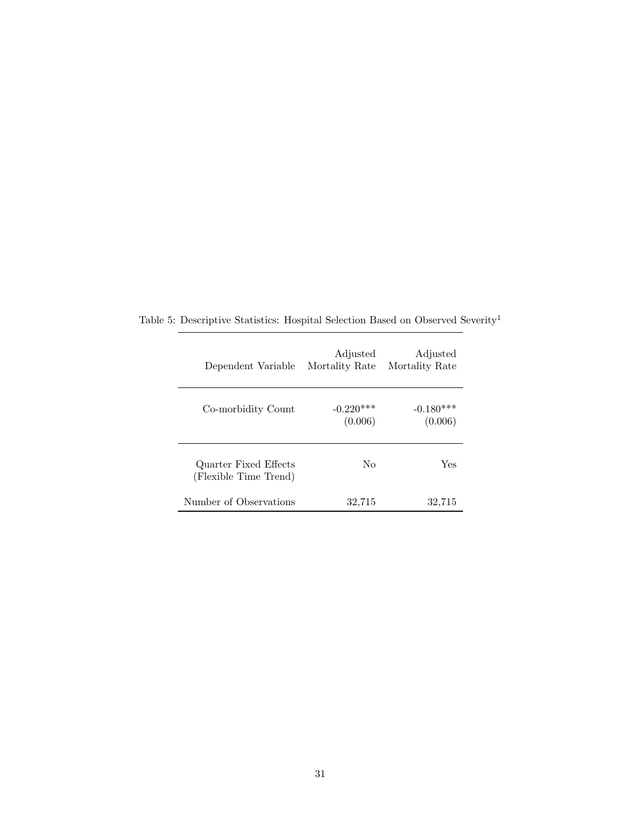<span id="page-34-0"></span>

| Dependent Variable                             | Adjusted<br>Mortality Rate | Adjusted<br>Mortality Rate |
|------------------------------------------------|----------------------------|----------------------------|
| Co-morbidity Count                             | $-0.220***$<br>(0.006)     | $-0.180***$<br>(0.006)     |
| Quarter Fixed Effects<br>(Flexible Time Trend) | Nο                         | Yes                        |
| Number of Observations                         | 32,715                     | 32,715                     |

Table 5: Descriptive Statistics: Hospital Selection Based on Observed Severity  $\real^1$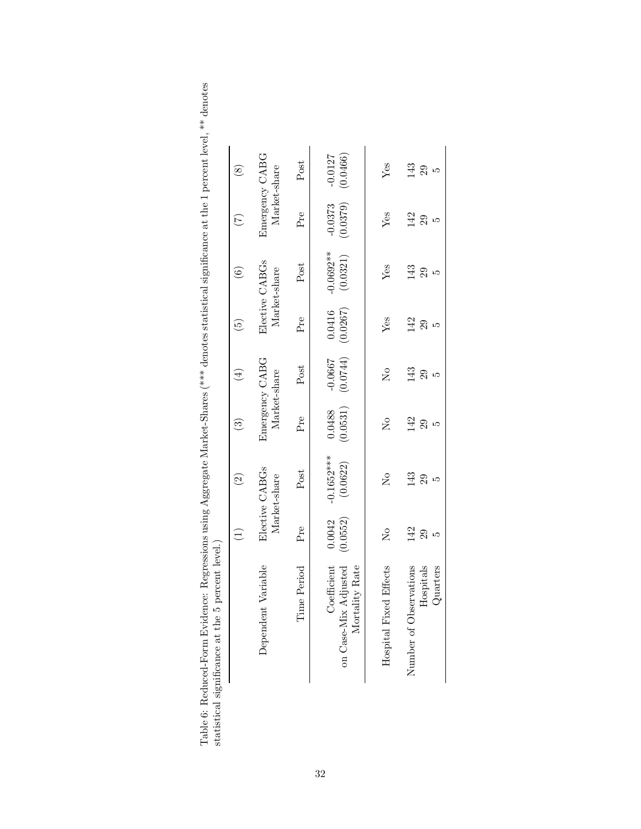<span id="page-35-0"></span>

| $\ddot{ }$                                                                           |                                                                     |  |
|--------------------------------------------------------------------------------------|---------------------------------------------------------------------|--|
|                                                                                      |                                                                     |  |
|                                                                                      |                                                                     |  |
| $\overline{\phantom{a}}$                                                             |                                                                     |  |
|                                                                                      |                                                                     |  |
|                                                                                      |                                                                     |  |
|                                                                                      |                                                                     |  |
|                                                                                      |                                                                     |  |
|                                                                                      |                                                                     |  |
|                                                                                      |                                                                     |  |
|                                                                                      |                                                                     |  |
|                                                                                      |                                                                     |  |
|                                                                                      |                                                                     |  |
|                                                                                      |                                                                     |  |
|                                                                                      |                                                                     |  |
| l                                                                                    |                                                                     |  |
| I                                                                                    |                                                                     |  |
|                                                                                      |                                                                     |  |
|                                                                                      |                                                                     |  |
| ֧֧֧֧֧֧֚֚֚֚֚֚֚֚֚֚֚֚֚֚֚֚֚֚֚֚֚֚֚֚֚֚֬֡֡֡֝֬֝֟֓֝֬֝֬                                        |                                                                     |  |
|                                                                                      |                                                                     |  |
| ֧֧ׅ֧ׅ֧֧֧֧ׅ֧֧ׅ֧֧ׅ֧ׅ֧֧ׅ֧֧֧֧֚֚֚֚֚֚֚֚֚֚֚֚֚֚֚֚֚֚֚֚֚֚֚֚֚֚֚֚֚֚֚֚֚֝֜֓֝֓֝֓֜֓֝֬֜֜֜֝֬֜֝֬֝֬<br>i | i                                                                   |  |
| Į                                                                                    |                                                                     |  |
| .<br>.                                                                               |                                                                     |  |
| $\Gamma$ vidence: $\Gamma$                                                           | miticance at the 5 nercon<br>١                                      |  |
|                                                                                      | A ATTA nn                                                           |  |
|                                                                                      |                                                                     |  |
| meen-Hom<br>r<br>.                                                                   |                                                                     |  |
|                                                                                      | ֧֦֦֦֧֦֧֧֧֧֚֚֚֚֚֚֚֚֚֚֚֚֚֚֚֚֚֚֚֚֚֚֚֚֚֝֝֝֝֝֝֝֝֝֝֝֝֝֝֝֝֝֝֬֝֬֝֝֬֝֬֝֬֝֬֝֬ |  |
|                                                                                      |                                                                     |  |
| Table 6: Redi<br>$\frac{1}{2}$                                                       | İ                                                                   |  |

|                                                       | $\left(\frac{1}{2}\right)$ | $\widehat{\Omega}$             | $\odot$                    | $\left( 4\right)$              | $\overline{5}$     | $\widehat{\odot}$              | $(\tau)$                       | $\circledast$         |
|-------------------------------------------------------|----------------------------|--------------------------------|----------------------------|--------------------------------|--------------------|--------------------------------|--------------------------------|-----------------------|
| Dependent Variable                                    |                            | Elective CABGs<br>Market-share |                            | Emergency CABG<br>Market-share |                    | Elective CABGs<br>Market-share | Emergency CABG<br>Market-share |                       |
| Time Period                                           | Pre                        | Post                           | Pre                        | Post                           | $Pr$ e             | Post                           | $Pr$ e                         | Post                  |
| on Case-Mix Adjusted<br>Mortality Rate<br>Coefficient | (0.0552)<br>0.0042         | $-0.1652***$<br>(0.0622)       | (0.0531)<br>0.0488         | (0.0744)<br>$-0.0667$          | (0.0267)<br>0.0416 | $-0.0692**$<br>(0.0321)        | (0.0379)<br>$-0.0373$          | (0.0466)<br>$-0.0127$ |
| Hospital Fixed Effects                                | $\mathsf{S}^{\mathsf{O}}$  | $\mathcal{S}^{\circ}$          | $\mathcal{S}^{\mathsf{O}}$ | $\mathsf{S}^{\mathsf{O}}$      | $Y$ es             | Yes                            | $Y$ es                         | Yes                   |
| servations<br>Hospitals<br>Quarters<br>Number of Ot   | 142<br>29<br>ഥ             | $\frac{3}{4}$<br>29            | 142<br>29<br>IJ            | 143<br>29<br>١Q                | 142<br>29<br>ഥ     | 143<br>29<br>⊥ລ                | 142<br>29<br>ഥ                 | 143<br>29<br>r.       |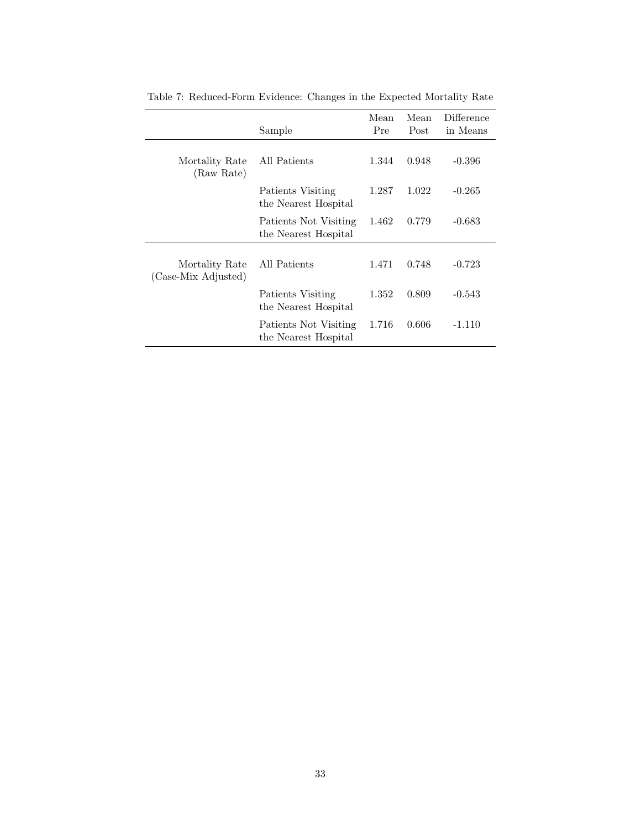|                                       | Sample                                        | Mean<br>Pre | Mean<br>Post | Difference<br>in Means |
|---------------------------------------|-----------------------------------------------|-------------|--------------|------------------------|
| Mortality Rate<br>(Raw Rate)          | All Patients                                  | 1.344       | 0.948        | $-0.396$               |
|                                       | Patients Visiting<br>the Nearest Hospital     | 1.287       | 1.022        | $-0.265$               |
|                                       | Patients Not Visiting<br>the Nearest Hospital | 1.462       | 0.779        | -0.683                 |
| Mortality Rate<br>(Case-Mix Adjusted) | All Patients                                  | 1.471       | 0.748        | $-0.723$               |
|                                       | Patients Visiting<br>the Nearest Hospital     | 1.352       | 0.809        | $-0.543$               |
|                                       | Patients Not Visiting<br>the Nearest Hospital | 1.716       | 0.606        | $-1.110$               |

<span id="page-36-0"></span>Table 7: Reduced-Form Evidence: Changes in the Expected Mortality Rate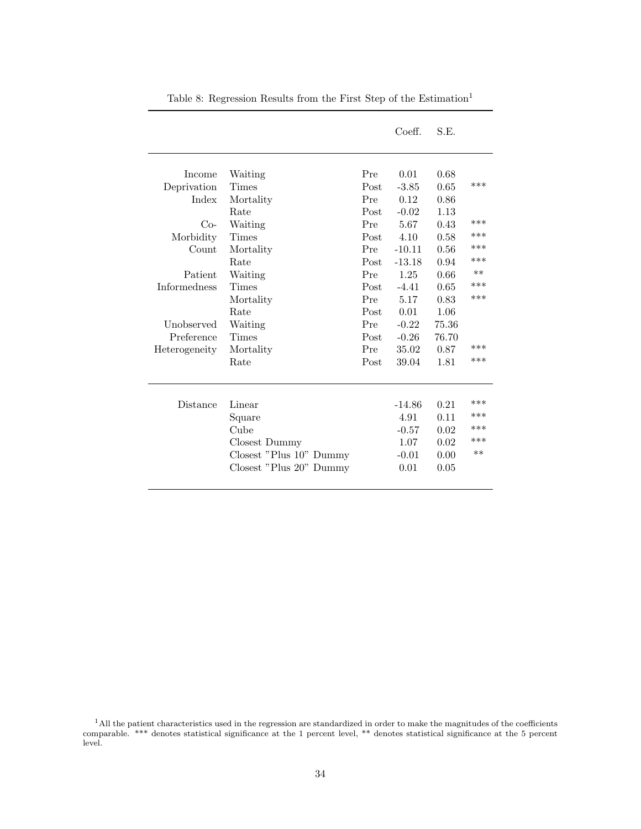|                     |                         |      | Coeff.   | S.E.  |       |
|---------------------|-------------------------|------|----------|-------|-------|
| Income              | Waiting                 | Pre  | 0.01     | 0.68  |       |
| Deprivation         | Times                   | Post | $-3.85$  | 0.65  | ***   |
| Index               | Mortality               | Pre  | 0.12     | 0.86  |       |
|                     | Rate                    | Post | $-0.02$  | 1.13  |       |
| $Co-$               | Waiting                 | Pre  | 5.67     | 0.43  | ***   |
| Morbidity           | Times                   | Post | 4.10     | 0.58  | ***   |
| Count               | Mortality               | Pre  | $-10.11$ | 0.56  | ***   |
|                     | Rate                    | Post | $-13.18$ | 0.94  | ***   |
| Patient             | Waiting                 | Pre  | 1.25     | 0.66  | $**$  |
| <b>Informedness</b> | Times                   | Post | $-4.41$  | 0.65  | ***   |
|                     | Mortality               | Pre  | 5.17     | 0.83  | ***   |
|                     | Rate                    | Post | 0.01     | 1.06  |       |
| Unobserved          | Waiting                 | Pre  | $-0.22$  | 75.36 |       |
| Preference          | Times                   | Post | $-0.26$  | 76.70 |       |
| Heterogeneity       | Mortality               | Pre  | 35.02    | 0.87  | ***   |
|                     | Rate                    | Post | 39.04    | 1.81  | $***$ |
|                     |                         |      |          |       |       |
| Distance            | Linear                  |      | $-14.86$ | 0.21  | ***   |
|                     | Square                  |      | 4.91     | 0.11  | ***   |
|                     | Cube                    |      | $-0.57$  | 0.02  | $***$ |
|                     | Closest Dummy           |      | 1.07     | 0.02  | ***   |
|                     | Closest "Plus 10" Dummy |      | $-0.01$  | 0.00  | $**$  |
|                     | Closest "Plus 20" Dummy |      | 0.01     | 0.05  |       |
|                     |                         |      |          |       |       |

<span id="page-37-0"></span>Table 8: Regression Results from the First Step of the  $\rm Estimation^1$ 

<sup>&</sup>lt;sup>1</sup>All the patient characteristics used in the regression are standardized in order to make the magnitudes of the coefficients comparable. \*\*\* denotes statistical significance at the 1 percent level, \*\* denotes statistical significance at the 5 percent level.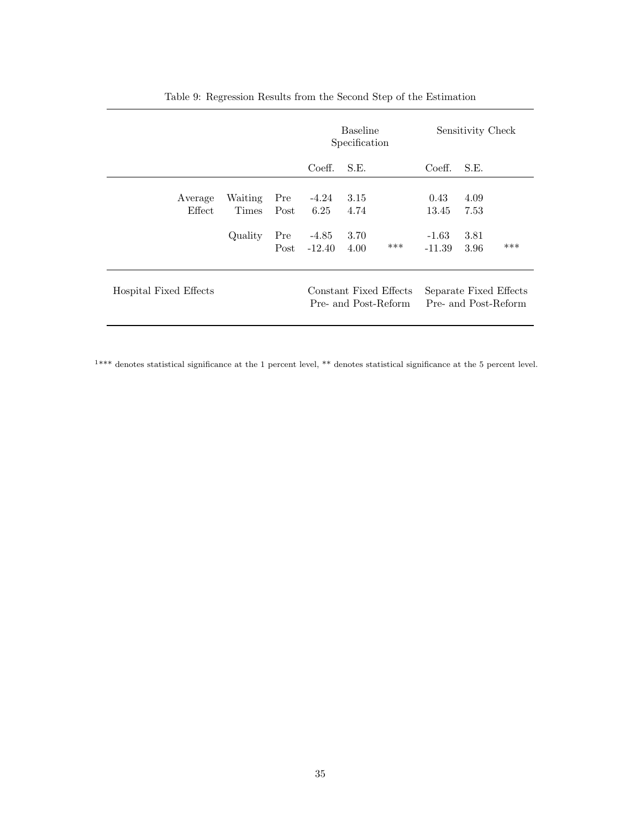|                        |                                    |                            | <b>Baseline</b><br>Specification       |                              | Sensitivity Check                              |                                      |                              |                                                |
|------------------------|------------------------------------|----------------------------|----------------------------------------|------------------------------|------------------------------------------------|--------------------------------------|------------------------------|------------------------------------------------|
|                        |                                    |                            | Coeff.                                 | S.E.                         |                                                | Coeff.                               | S.E.                         |                                                |
| Average<br>Effect      | Waiting<br><b>Times</b><br>Quality | Pre<br>Post<br>Pre<br>Post | $-4.24$<br>6.25<br>$-4.85$<br>$-12.40$ | 3.15<br>4.74<br>3.70<br>4.00 | ***                                            | 0.43<br>13.45<br>$-1.63$<br>$-11.39$ | 4.09<br>7.53<br>3.81<br>3.96 | ***                                            |
| Hospital Fixed Effects |                                    |                            |                                        |                              | Constant Fixed Effects<br>Pre- and Post-Reform |                                      |                              | Separate Fixed Effects<br>Pre- and Post-Reform |

<span id="page-38-0"></span>Table 9: Regression Results from the Second Step of the Estimation

<sup>1</sup>\*\*\* denotes statistical significance at the 1 percent level, \*\* denotes statistical significance at the 5 percent level.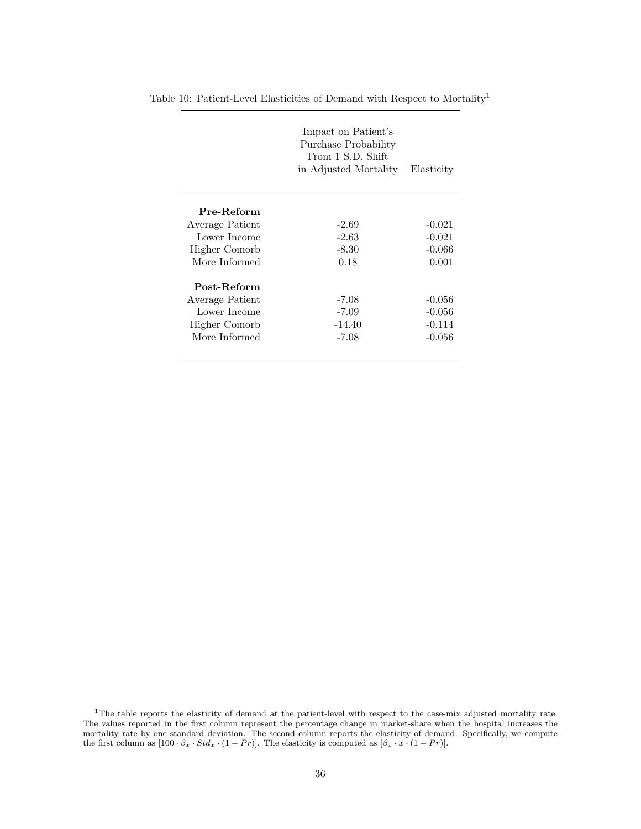<span id="page-39-0"></span>

| Impact on Patient's<br>Purchase Probability<br>From 1 S.D. Shift<br>in Adjusted Mortality | Elasticity |
|-------------------------------------------------------------------------------------------|------------|
|                                                                                           |            |
| $-2.69$                                                                                   | $-0.021$   |
| $-2.63$                                                                                   | $-0.021$   |
| $-8.30$                                                                                   | $-0.066$   |
| 0.18                                                                                      | 0.001      |
|                                                                                           |            |
| $-7.08$                                                                                   | $-0.056$   |
| $-7.09$                                                                                   | $-0.056$   |
| $-14.40$                                                                                  | $-0.114$   |
| $-7.08$                                                                                   | $-0.056$   |
|                                                                                           |            |

Table 10: Patient-Level Elasticities of Demand with Respect to  $\operatorname{Mortality}^1$ 

 $1$ The table reports the elasticity of demand at the patient-level with respect to the case-mix adjusted mortality rate. The values reported in the first column represent the percentage change in market-share when the hospital increases the mortality rate by one standard deviation. The second column reports the elasticity of demand. Specifically, we compute the first column as  $[100 \tcdot \beta_x \tcdot Std_x \tcdot (1 - Pr)].$  The elasticity is computed as  $[\beta_x \tcdot x \tcdot (1 - Pr)].$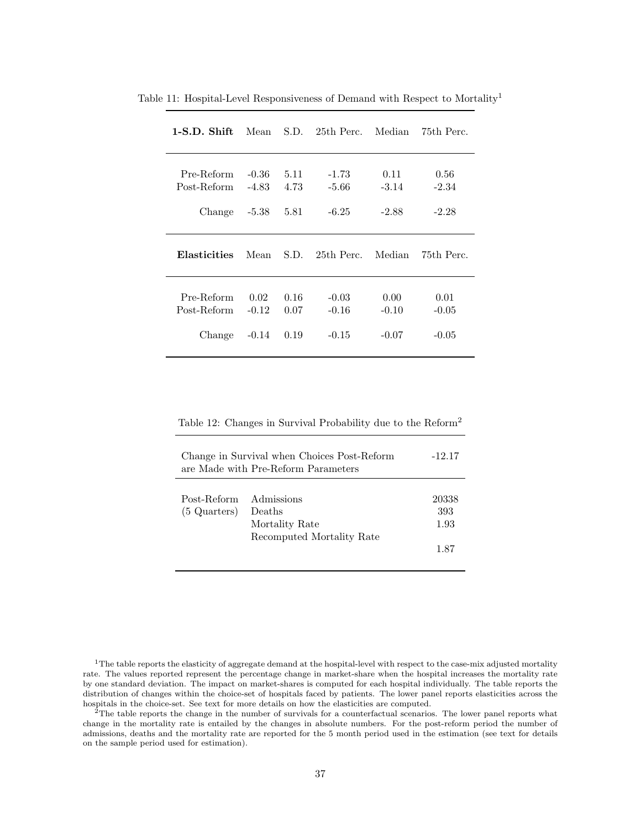<span id="page-40-0"></span>

| $1-S.D. Shift$ | Mean    | S.D. | 25th Perc. | Median  | 75th Perc. |
|----------------|---------|------|------------|---------|------------|
| Pre-Reform     | $-0.36$ | 5.11 | -1.73      | 0.11    | 0.56       |
| Post-Reform    | $-4.83$ | 4.73 | $-5.66$    | $-3.14$ | $-2.34$    |
| Change         | $-5.38$ | 5.81 | $-6.25$    | -2.88   | $-2.28$    |
| Elasticities   | Mean    | S.D. | 25th Perc. | Median  | 75th Perc. |
| Pre-Reform     | 0.02    | 0.16 | $-0.03$    | 0.00    | 0.01       |
| Post-Reform    | $-0.12$ | 0.07 | $-0.16$    | $-0.10$ | $-0.05$    |
| Change         | $-0.14$ | 0.19 | $-0.15$    | $-0.07$ | $-0.05$    |

Table 11: Hospital-Level Responsiveness of Demand with Respect to Mortality<sup>1</sup>

<span id="page-40-1"></span>Table 12: Changes in Survival Probability due to the Reform<sup>2</sup>

| Change in Survival when Choices Post-Reform<br>$-12.17$<br>are Made with Pre-Reform Parameters |                                                                     |                              |  |
|------------------------------------------------------------------------------------------------|---------------------------------------------------------------------|------------------------------|--|
| Post-Reform<br>$(5$ Quarters)                                                                  | Admissions<br>Deaths<br>Mortality Rate<br>Recomputed Mortality Rate | 20338<br>393<br>1.93<br>1.87 |  |

 $1$ The table reports the elasticity of aggregate demand at the hospital-level with respect to the case-mix adjusted mortality rate. The values reported represent the percentage change in market-share when the hospital increases the mortality rate by one standard deviation. The impact on market-shares is computed for each hospital individually. The table reports the distribution of changes within the choice-set of hospitals faced by patients. The lower panel reports elasticities across the hospitals in the choice-set. See text for more details on how the elasticities are computed.

 $2$ The table reports the change in the number of survivals for a counterfactual scenarios. The lower panel reports what change in the mortality rate is entailed by the changes in absolute numbers. For the post-reform period the number of admissions, deaths and the mortality rate are reported for the 5 month period used in the estimation (see text for details on the sample period used for estimation).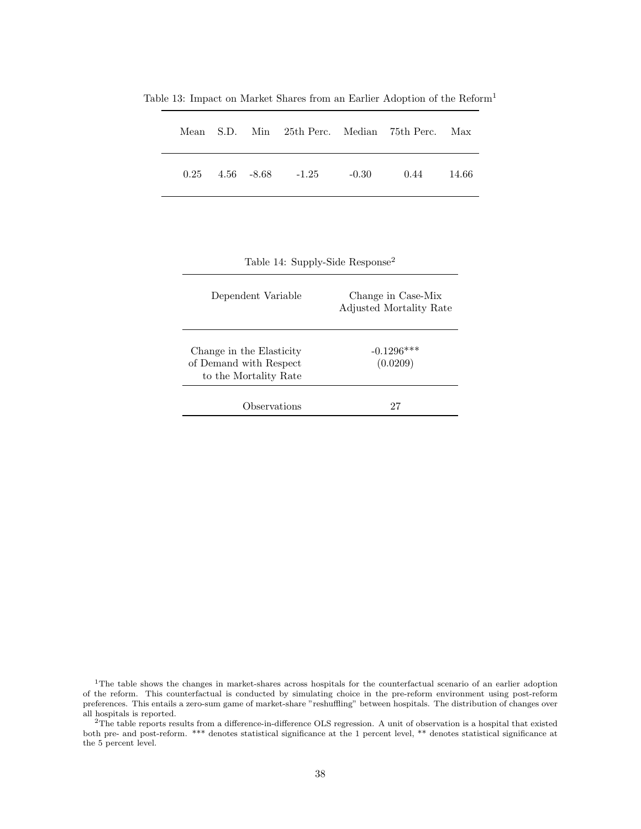<span id="page-41-0"></span>

|  |  |                                       | Mean S.D. Min 25th Perc. Median 75th Perc. Max |        |
|--|--|---------------------------------------|------------------------------------------------|--------|
|  |  | $0.25$ $4.56$ $-8.68$ $-1.25$ $-0.30$ | 0.44                                           | -14.66 |

Table 13: Impact on Market Shares from an Earlier Adoption of the Reform<sup>1</sup>

<span id="page-41-1"></span>Table 14: Supply-Side Response<sup>2</sup>

| Dependent Variable                                                          | Change in Case-Mix<br>Adjusted Mortality Rate |
|-----------------------------------------------------------------------------|-----------------------------------------------|
| Change in the Elasticity<br>of Demand with Respect<br>to the Mortality Rate | $-0.1296***$<br>(0.0209)                      |
| Observations                                                                |                                               |

<sup>1</sup>The table shows the changes in market-shares across hospitals for the counterfactual scenario of an earlier adoption of the reform. This counterfactual is conducted by simulating choice in the pre-reform environment using post-reform preferences. This entails a zero-sum game of market-share "reshuffling" between hospitals. The distribution of changes over all hospitals is reported.

<sup>2</sup>The table reports results from a difference-in-difference OLS regression. A unit of observation is a hospital that existed both pre- and post-reform. \*\*\* denotes statistical significance at the 1 percent level, \*\* denotes statistical significance at the 5 percent level.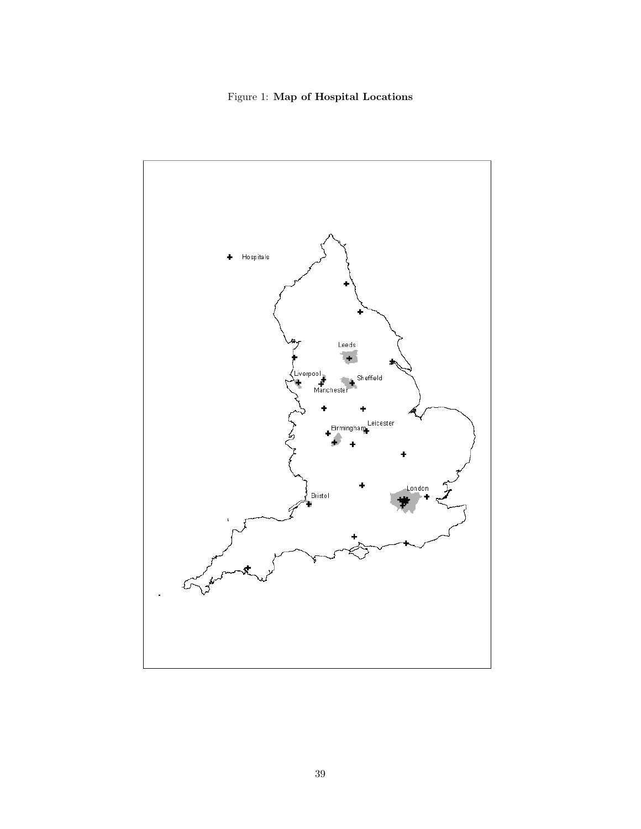<span id="page-42-0"></span>Figure 1: Map of Hospital Locations

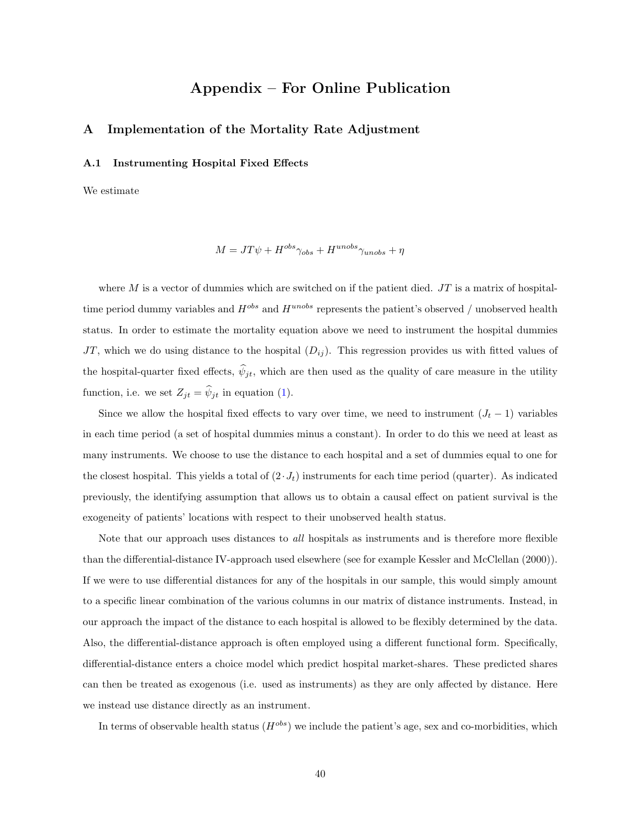## Appendix – For Online Publication

#### <span id="page-43-0"></span>A Implementation of the Mortality Rate Adjustment

#### A.1 Instrumenting Hospital Fixed Effects

We estimate

$$
M = JT\psi + H^{obs}\gamma_{obs} + H^{unobs}\gamma_{unobs} + \eta
$$

where  $M$  is a vector of dummies which are switched on if the patient died.  $JT$  is a matrix of hospitaltime period dummy variables and  $H^{obs}$  and  $H^{unobs}$  represents the patient's observed / unobserved health status. In order to estimate the mortality equation above we need to instrument the hospital dummies JT, which we do using distance to the hospital  $(D_{ij})$ . This regression provides us with fitted values of the hospital-quarter fixed effects,  $\hat{\psi}_{jt}$ , which are then used as the quality of care measure in the utility function, i.e. we set  $Z_{jt} = \widehat{\psi}_{jt}$  in equation [\(1\)](#page-6-1).

Since we allow the hospital fixed effects to vary over time, we need to instrument  $(J_t - 1)$  variables in each time period (a set of hospital dummies minus a constant). In order to do this we need at least as many instruments. We choose to use the distance to each hospital and a set of dummies equal to one for the closest hospital. This yields a total of  $(2 J_t)$  instruments for each time period (quarter). As indicated previously, the identifying assumption that allows us to obtain a causal effect on patient survival is the exogeneity of patients' locations with respect to their unobserved health status.

Note that our approach uses distances to *all* hospitals as instruments and is therefore more flexible than the differential-distance IV-approach used elsewhere (see for example Kessler and McClellan (2000)). If we were to use differential distances for any of the hospitals in our sample, this would simply amount to a specific linear combination of the various columns in our matrix of distance instruments. Instead, in our approach the impact of the distance to each hospital is allowed to be flexibly determined by the data. Also, the differential-distance approach is often employed using a different functional form. Specifically, differential-distance enters a choice model which predict hospital market-shares. These predicted shares can then be treated as exogenous (i.e. used as instruments) as they are only affected by distance. Here we instead use distance directly as an instrument.

In terms of observable health status  $(H^{obs})$  we include the patient's age, sex and co-morbidities, which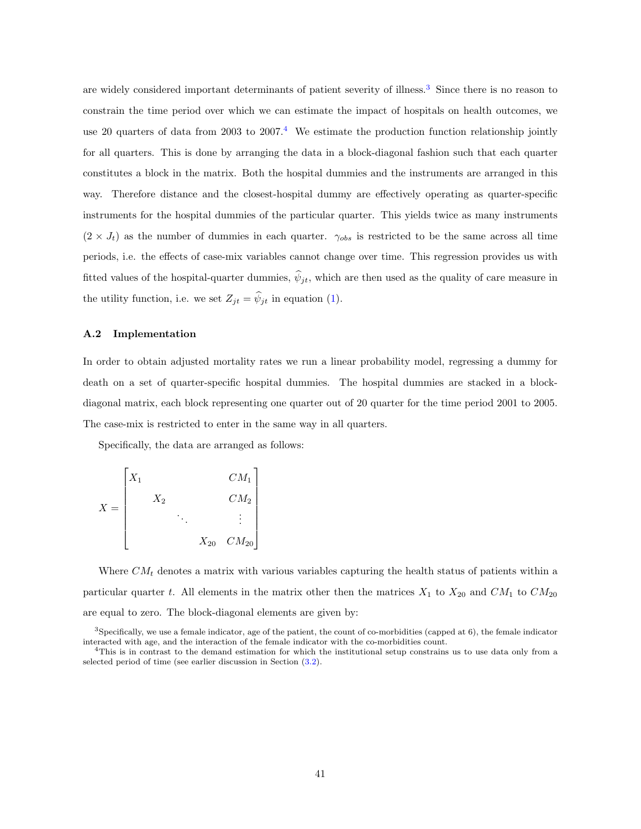are widely considered important determinants of patient severity of illness.<sup>[3](#page-2-0)</sup> Since there is no reason to constrain the time period over which we can estimate the impact of hospitals on health outcomes, we use 20 quarters of data from 2003 to  $2007<sup>4</sup>$  $2007<sup>4</sup>$  $2007<sup>4</sup>$ . We estimate the production function relationship jointly for all quarters. This is done by arranging the data in a block-diagonal fashion such that each quarter constitutes a block in the matrix. Both the hospital dummies and the instruments are arranged in this way. Therefore distance and the closest-hospital dummy are effectively operating as quarter-specific instruments for the hospital dummies of the particular quarter. This yields twice as many instruments  $(2 \times J_t)$  as the number of dummies in each quarter.  $\gamma_{obs}$  is restricted to be the same across all time periods, i.e. the effects of case-mix variables cannot change over time. This regression provides us with fitted values of the hospital-quarter dummies,  $\hat{\psi}_{it}$ , which are then used as the quality of care measure in the utility function, i.e. we set  $Z_{jt} = \hat{\psi}_{jt}$  in equation [\(1\)](#page-6-1).

#### A.2 Implementation

In order to obtain adjusted mortality rates we run a linear probability model, regressing a dummy for death on a set of quarter-specific hospital dummies. The hospital dummies are stacked in a blockdiagonal matrix, each block representing one quarter out of 20 quarter for the time period 2001 to 2005. The case-mix is restricted to enter in the same way in all quarters.

Specifically, the data are arranged as follows:

$$
X = \begin{bmatrix} X_1 & & & & C M_1 \\ & X_2 & & & C M_2 \\ & & \ddots & & \vdots \\ & & & X_{20} & C M_{20} \end{bmatrix}
$$

Where  $CM<sub>t</sub>$  denotes a matrix with various variables capturing the health status of patients within a particular quarter t. All elements in the matrix other then the matrices  $X_1$  to  $X_{20}$  and  $CM_1$  to  $CM_{20}$ are equal to zero. The block-diagonal elements are given by:

 $3$ Specifically, we use a female indicator, age of the patient, the count of co-morbidities (capped at  $6$ ), the female indicator interacted with age, and the interaction of the female indicator with the co-morbidities count.

<sup>4</sup>This is in contrast to the demand estimation for which the institutional setup constrains us to use data only from a selected period of time (see earlier discussion in Section [\(3.2\)](#page-11-0).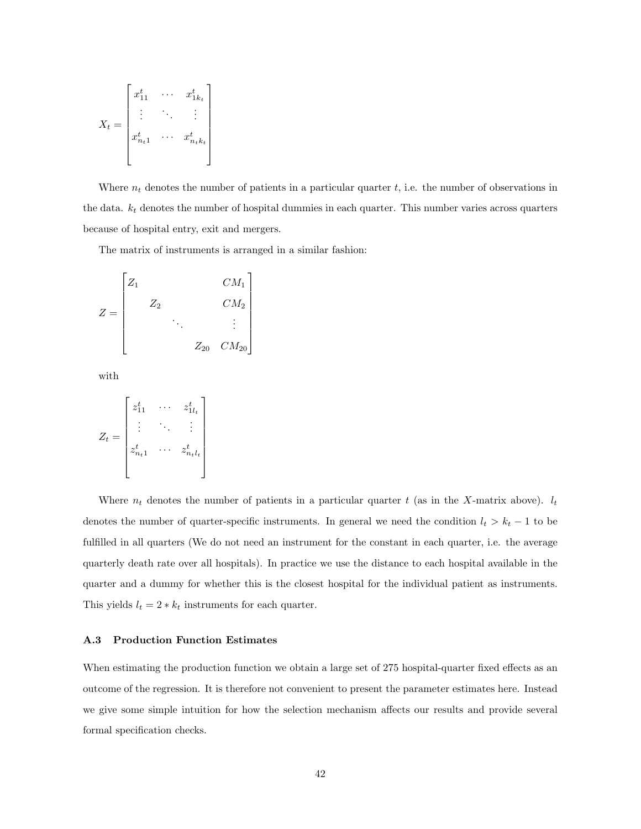$$
X_t = \begin{bmatrix} x_{11}^t & \cdots & x_{1k_t}^t \\ \vdots & \ddots & \vdots \\ x_{n_t1}^t & \cdots & x_{n_tk_t}^t \end{bmatrix}
$$

Where  $n_t$  denotes the number of patients in a particular quarter t, i.e. the number of observations in the data.  $k_t$  denotes the number of hospital dummies in each quarter. This number varies across quarters because of hospital entry, exit and mergers.

The matrix of instruments is arranged in a similar fashion:

$$
Z = \begin{bmatrix} Z_1 & & & & C M_1 \\ & Z_2 & & & & \\ & & \ddots & & \vdots \\ & & & Z_{20} & C M_{20} \end{bmatrix}
$$

with

$$
Z_t = \begin{bmatrix} z_{11}^t & \cdots & z_{1l_t}^t \\ \vdots & \ddots & \vdots \\ z_{n_t1}^t & \cdots & z_{n_tl_t}^t \end{bmatrix}
$$

Where  $n_t$  denotes the number of patients in a particular quarter t (as in the X-matrix above).  $l_t$ denotes the number of quarter-specific instruments. In general we need the condition  $l_t > k_t - 1$  to be fulfilled in all quarters (We do not need an instrument for the constant in each quarter, i.e. the average quarterly death rate over all hospitals). In practice we use the distance to each hospital available in the quarter and a dummy for whether this is the closest hospital for the individual patient as instruments. This yields  $l_t = 2 * k_t$  instruments for each quarter.

#### <span id="page-45-0"></span>A.3 Production Function Estimates

When estimating the production function we obtain a large set of 275 hospital-quarter fixed effects as an outcome of the regression. It is therefore not convenient to present the parameter estimates here. Instead we give some simple intuition for how the selection mechanism affects our results and provide several formal specification checks.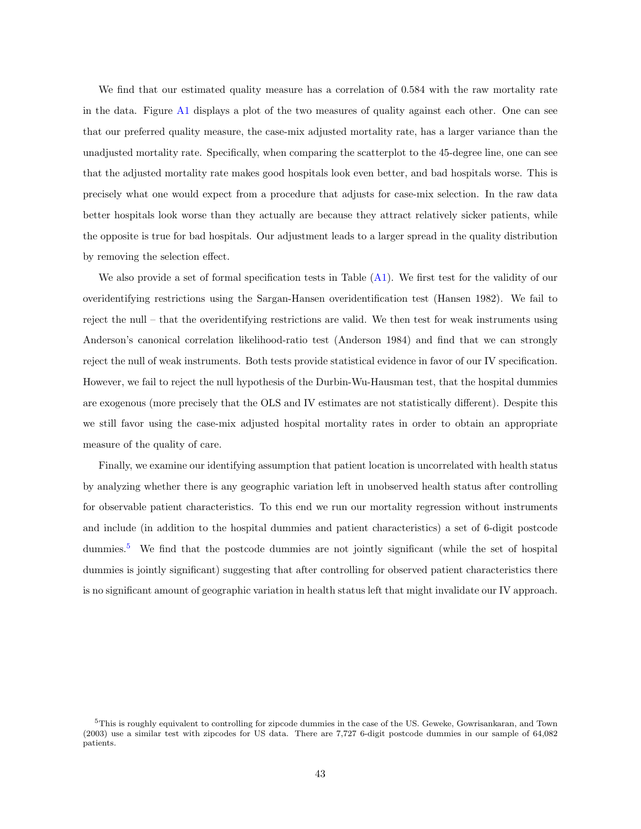We find that our estimated quality measure has a correlation of 0.584 with the raw mortality rate in the data. Figure [A1](#page-42-0) displays a plot of the two measures of quality against each other. One can see that our preferred quality measure, the case-mix adjusted mortality rate, has a larger variance than the unadjusted mortality rate. Specifically, when comparing the scatterplot to the 45-degree line, one can see that the adjusted mortality rate makes good hospitals look even better, and bad hospitals worse. This is precisely what one would expect from a procedure that adjusts for case-mix selection. In the raw data better hospitals look worse than they actually are because they attract relatively sicker patients, while the opposite is true for bad hospitals. Our adjustment leads to a larger spread in the quality distribution by removing the selection effect.

We also provide a set of formal specification tests in Table [\(A1\)](#page-31-0). We first test for the validity of our overidentifying restrictions using the Sargan-Hansen overidentification test (Hansen 1982). We fail to reject the null – that the overidentifying restrictions are valid. We then test for weak instruments using Anderson's canonical correlation likelihood-ratio test (Anderson 1984) and find that we can strongly reject the null of weak instruments. Both tests provide statistical evidence in favor of our IV specification. However, we fail to reject the null hypothesis of the Durbin-Wu-Hausman test, that the hospital dummies are exogenous (more precisely that the OLS and IV estimates are not statistically different). Despite this we still favor using the case-mix adjusted hospital mortality rates in order to obtain an appropriate measure of the quality of care.

Finally, we examine our identifying assumption that patient location is uncorrelated with health status by analyzing whether there is any geographic variation left in unobserved health status after controlling for observable patient characteristics. To this end we run our mortality regression without instruments and include (in addition to the hospital dummies and patient characteristics) a set of 6-digit postcode dummies.<sup>[5](#page-2-0)</sup> We find that the postcode dummies are not jointly significant (while the set of hospital dummies is jointly significant) suggesting that after controlling for observed patient characteristics there is no significant amount of geographic variation in health status left that might invalidate our IV approach.

<sup>5</sup>This is roughly equivalent to controlling for zipcode dummies in the case of the US. Geweke, Gowrisankaran, and Town (2003) use a similar test with zipcodes for US data. There are 7,727 6-digit postcode dummies in our sample of 64,082 patients.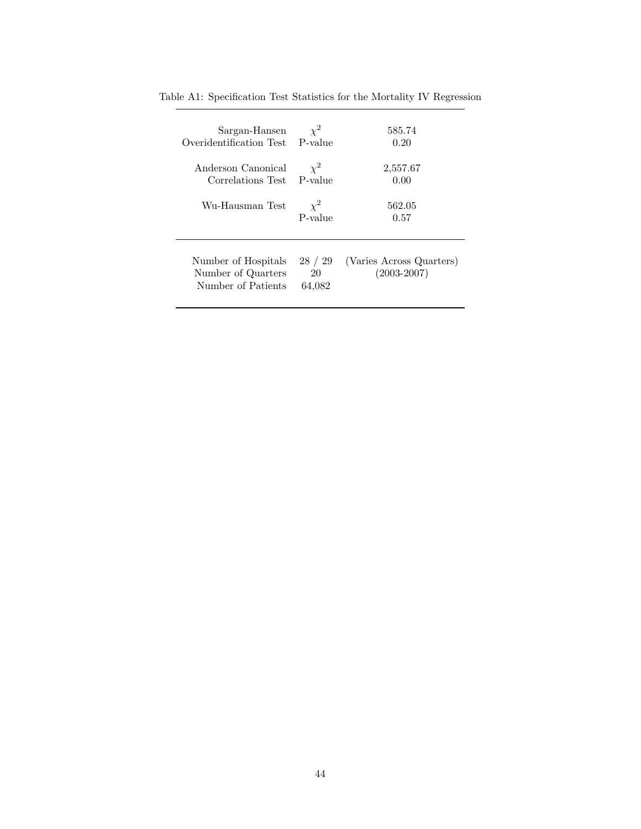| Sargan-Hansen                                                   | $\chi^2$                | 585.74                                      |
|-----------------------------------------------------------------|-------------------------|---------------------------------------------|
| Overidentification Test                                         | P-value                 | 0.20                                        |
| Anderson Canonical                                              | $\chi^2$                | 2,557.67                                    |
| Correlations Test                                               | P-value                 | 0.00                                        |
| Wu-Hausman Test                                                 | $\chi^2$<br>P-value     | 562.05<br>0.57                              |
| Number of Hospitals<br>Number of Quarters<br>Number of Patients | 28 / 29<br>20<br>64,082 | (Varies Across Quarters)<br>$(2003 - 2007)$ |

Table A1: Specification Test Statistics for the Mortality IV Regression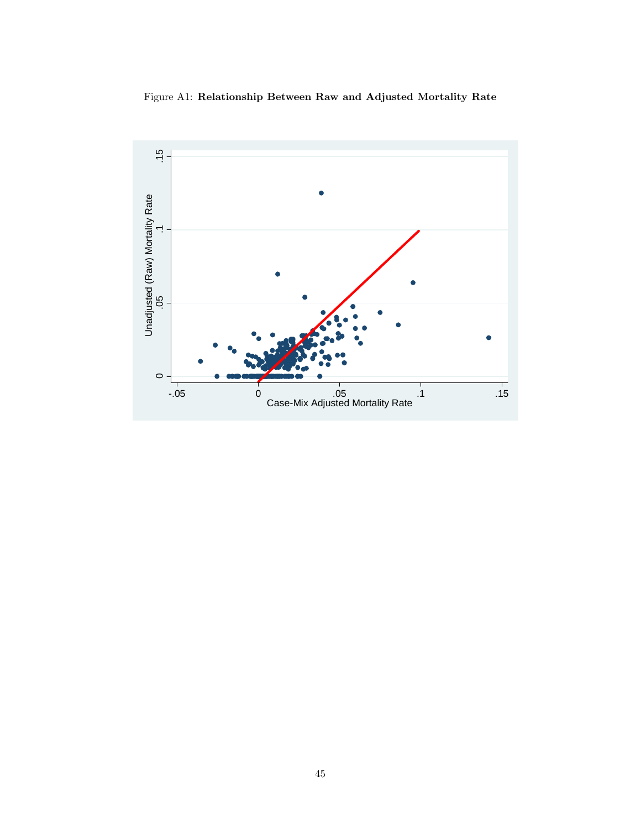Figure A1: Relationship Between Raw and Adjusted Mortality Rate